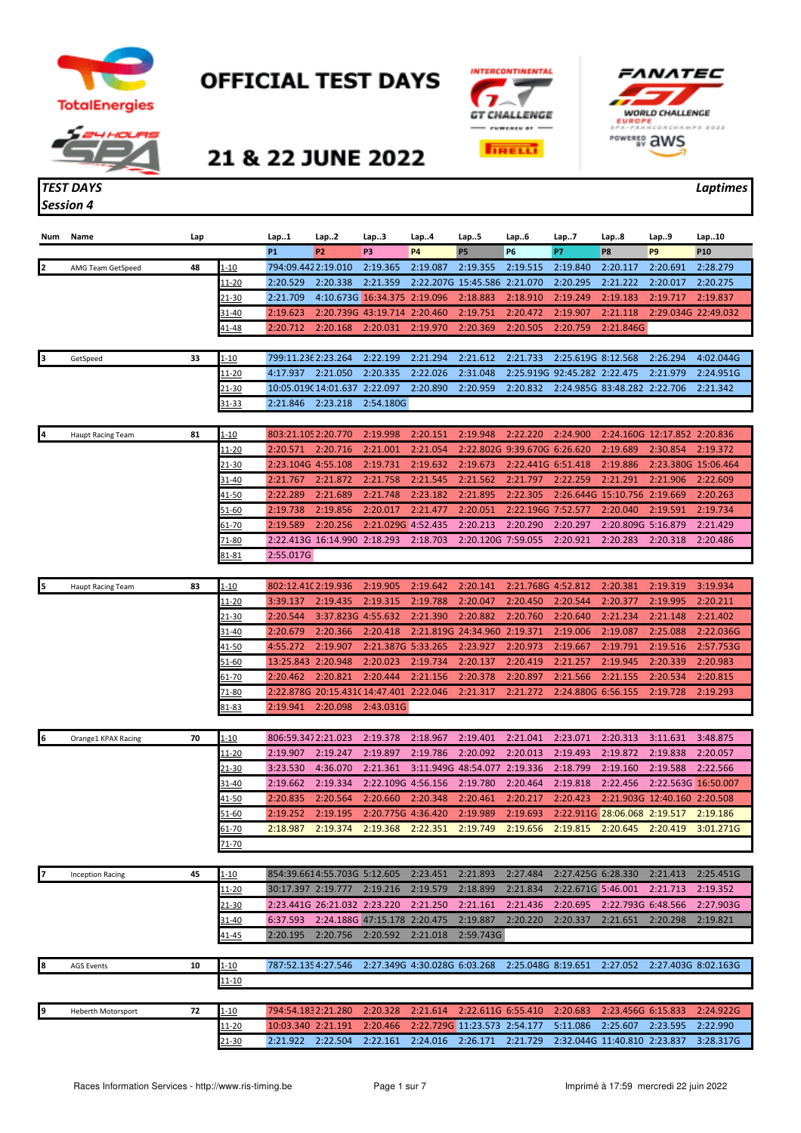



## **OFFICIAL TEST DAYS**





## 21 & 22 JUNE 2022

## *Session 4*

## *TEST DAYS Laptimes*

| Num | Name                      | Lap |               | Lap1                            | Lap2                                    | Lap3                         | Lap4                         | Lap5                         | Lap6                         | Lap7                         | Lap8                         | Lap9                         | Lap10           |
|-----|---------------------------|-----|---------------|---------------------------------|-----------------------------------------|------------------------------|------------------------------|------------------------------|------------------------------|------------------------------|------------------------------|------------------------------|-----------------|
|     |                           |     |               | <b>P1</b><br>794:09.4422:19.010 | P <sub>2</sub>                          | P3                           | <b>P4</b>                    | <b>P5</b>                    | <b>P6</b>                    | P7                           | P <sub>8</sub>               | P <sub>9</sub>               | P <sub>10</sub> |
| 2   | AMG Team GetSpeed         | 48  | 1-10          |                                 |                                         | 2:19.365                     | 2:19.087                     | 2:19.355                     | 2:19.515                     | 2:19.840                     | 2:20.117                     | 2:20.691                     | 2:28.279        |
|     |                           |     | 11-20         | 2:20.529                        | 2:20.338                                | 2:21.359                     |                              | 2:22.207G 15:45.586 2:21.070 |                              | 2:20.295                     | 2:21.222                     | 2:20.017                     | 2:20.275        |
|     |                           |     | 21-30         | 2:21.709                        |                                         | 4:10.673G 16:34.375 2:19.096 |                              | 2:18.883                     | 2:18.910                     | 2:19.249                     | 2:19.183                     | 2:19.717                     | 2:19.837        |
|     |                           |     | 31-40         | 2:19.623                        |                                         | 2:20.739G 43:19.714 2:20.460 |                              | 2:19.751                     | 2:20.472                     | 2:19.907                     | 2:21.118                     | 2:29.034G 22:49.032          |                 |
|     |                           |     | <u>41-48</u>  | 2:20.712                        | 2:20.168                                | 2:20.031                     | 2:19.970                     | 2:20.369                     | 2:20.505                     | 2:20.759                     | 2:21.846G                    |                              |                 |
|     |                           |     |               |                                 |                                         |                              |                              |                              |                              |                              |                              |                              |                 |
| 3   | GetSpeed                  | 33  | $1 - 10$      | 799:11.236 2:23.264             |                                         | 2:22.199                     | 2:21.294                     | 2:21.612                     | 2:21.733                     | 2:25.619G 8:12.568           |                              | 2:26.294                     | 4:02.044G       |
|     |                           |     | <u> 11-20</u> | 4:17.937                        | 2:21.050                                | 2:20.335                     | 2:22.026                     | 2:31.048                     |                              | 2:25.919G 92:45.282 2:22.475 |                              | 2:21.979                     | 2:24.951G       |
|     |                           |     | <u>21-30</u>  |                                 | 10:05.0190 14:01.637                    | 2:22.097                     | 2:20.890                     | 2:20.959                     | 2:20.832                     | 2:24.985G 83:48.282 2:22.706 |                              |                              | 2:21.342        |
|     |                           |     | 31-33         | 2:21.846                        | 2:23.218                                | 2:54.180G                    |                              |                              |                              |                              |                              |                              |                 |
|     |                           |     |               |                                 |                                         |                              |                              |                              |                              |                              |                              |                              |                 |
| 4   | <b>Haupt Racing Team</b>  | 81  | 1-10          | 803:21.105 2:20.770             |                                         | 2:19.998                     | 2:20.151                     | 2:19.948                     | 2:22.220                     | 2:24.900                     |                              | 2:24.160G 12:17.852 2:20.836 |                 |
|     |                           |     | 11-20         | 2:20.571                        | 2:20.716                                | 2:21.001                     | 2:21.054                     |                              | 2:22.802G 9:39.670G 6:26.620 |                              | 2:19.689                     | 2:30.854                     | 2:19.372        |
|     |                           |     | 21-30         | 2:23.104G 4:55.108              |                                         | 2:19.731                     | 2:19.632                     | 2:19.673                     | 2:22.441G 6:51.418           |                              | 2:19.886                     | 2:23.380G 15:06.464          |                 |
|     |                           |     | 31-40         | 2:21.767                        | 2:21.872                                | 2:21.758                     | 2:21.545                     | 2:21.562                     | 2:21.797                     | 2:22.259                     | 2:21.291                     | 2:21.906                     | 2:22.609        |
|     |                           |     | 41-50         | 2:22.289                        | 2:21.689                                | 2:21.748                     | 2:23.182                     | 2:21.895                     | 2:22.305                     | 2:26.644G 15:10.756          |                              | 2:19.669                     | 2:20.263        |
|     |                           |     | 51-60         | 2:19.738                        | 2:19.856                                | 2:20.017                     | 2:21.477                     | 2:20.051                     | 2:22.196G 7:52.577           |                              | 2:20.040                     | 2:19.591                     | 2:19.734        |
|     |                           |     | 61-70         | 2:19.589                        | 2:20.256                                | 2:21.029G 4:52.435           |                              | 2:20.213                     | 2:20.290                     | 2:20.297                     | 2:20.809G 5:16.879           |                              | 2:21.429        |
|     |                           |     | 71-80         |                                 | 2:22.413G 16:14.990 2:18.293            |                              | 2:18.703                     | 2:20.120G 7:59.055           |                              | 2:20.921                     | 2:20.283                     | 2:20.318                     | 2:20.486        |
|     |                           |     | 81-81         | 2:55.017G                       |                                         |                              |                              |                              |                              |                              |                              |                              |                 |
|     |                           |     |               |                                 |                                         |                              |                              |                              |                              |                              |                              |                              |                 |
| 15  | <b>Haupt Racing Team</b>  | 83  | 1-10          | 802:12.410 2:19.936             |                                         | 2:19.905                     | 2:19.642                     | 2:20.141                     | 2:21.768G 4:52.812           |                              | 2:20.381                     | 2:19.319                     | 3:19.934        |
|     |                           |     | 11-20         | 3:39.137                        | 2:19.435                                | 2:19.315                     | 2:19.788                     | 2:20.047                     | 2:20.450                     | 2:20.544                     | 2:20.377                     | 2:19.995                     | 2:20.211        |
|     |                           |     | 21-30         | 2:20.544                        | 3:37.823G 4:55.632                      |                              | 2:21.390                     | 2:20.882                     | 2:20.760                     | 2:20.640                     | 2:21.234                     | 2:21.148                     | 2:21.402        |
|     |                           |     | 31-40         | 2:20.679                        | 2:20.366                                | 2:20.418                     |                              | 2:21.819G 24:34.960          | 2:19.371                     | 2:19.006                     | 2:19.087                     | 2:25.088                     | 2:22.036G       |
|     |                           |     | 41-50         | 4:55.272                        | 2:19.907                                | 2:21.387G 5:33.265           |                              | 2:23.927                     | 2:20.973                     | 2:19.667                     | 2:19.791                     | 2:19.516                     | 2:57.753G       |
|     |                           |     | 51-60         | 13:25.843 2:20.948              |                                         | 2:20.023                     | 2:19.734                     | 2:20.137                     | 2:20.419                     | 2:21.257                     | 2:19.945                     | 2:20.339                     | 2:20.983        |
|     |                           |     |               |                                 |                                         |                              |                              |                              |                              |                              |                              |                              |                 |
|     |                           |     | $61 - 70$     | 2:20.462                        | 2:20.821                                | 2:20.444                     | 2:21.156                     | 2:20.378                     | 2:20.897                     | 2:21.566                     | 2:21.155                     | 2:20.534                     | 2:20.815        |
|     |                           |     | 71-80         |                                 | 2:22.878G 20:15.431C 14:47.401 2:22.046 |                              |                              | 2:21.317                     | 2:21.272                     | 2:24.880G 6:56.155           |                              | 2:19.728                     | 2:19.293        |
|     |                           |     | 81-83         | 2:19.941                        | 2:20.098                                | 2:43.031G                    |                              |                              |                              |                              |                              |                              |                 |
|     |                           |     |               |                                 |                                         |                              |                              |                              |                              |                              |                              |                              |                 |
| 6   | Orange1 KPAX Racing       | 70  | <u>1-10</u>   | 806:59.3472:21.023              |                                         | 2:19.378                     | 2:18.967                     | 2:19.401                     | 2:21.041                     | 2:23.071                     | 2:20.313                     | 3:11.631                     | 3:48.875        |
|     |                           |     | 11-20         | 2:19.907                        | 2:19.247                                | 2:19.897                     | 2:19.786                     | 2:20.092                     | 2:20.013                     | 2:19.493                     | 2:19.872                     | 2:19.838                     | 2:20.057        |
|     |                           |     | 21-30         | 3:23.530                        | 4:36.070                                | 2:21.361                     |                              | 3:11.949G 48:54.077          | 2:19.336                     | 2:18.799                     | 2:19.160                     | 2:19.588                     | 2:22.566        |
|     |                           |     | 31-40         | 2:19.662                        | 2:19.334                                | 2:22.109G 4:56.156           |                              | 2:19.780                     | 2:20.464                     | 2:19.818                     | 2:22.456                     | 2:22.563G 16:50.007          |                 |
|     |                           |     | 41-50         | 2:20.835                        | 2:20.564                                | 2:20.660                     | 2:20.348                     | 2:20.461                     | 2:20.217                     | 2:20.423                     |                              | 2:21.903G 12:40.160 2:20.508 |                 |
|     |                           |     | 51-60         | 2:19.252                        | 2:19.195                                | 2:20.775G 4:36.420           |                              | 2:19.989                     | 2:19.693                     |                              | 2:22.911G 28:06.068 2:19.517 |                              | 2:19.186        |
|     |                           |     | <u>61-70</u>  | 2:18.987                        | 2:19.374                                | 2:19.368                     | 2:22.351                     | 2:19.749                     | 2:19.656                     | 2:19.815                     | 2:20.645                     | 2:20.419                     | 3:01.271G       |
|     |                           |     | <u>71-70</u>  |                                 |                                         |                              |                              |                              |                              |                              |                              |                              |                 |
|     |                           |     |               |                                 |                                         |                              |                              |                              |                              |                              |                              |                              |                 |
|     | <b>Inception Racing</b>   | 45  | $1 - 10$      |                                 | 854:39.6614:55.703G 5:12.605            |                              | 2:23.451                     | 2:21.893                     | 2:27.484                     | 2:27.425G 6:28.330           |                              | 2:21.413                     | 2:25.451G       |
|     |                           |     | 11-20         | 30:17.397 2:19.777              |                                         | 2:19.216                     | 2:19.579                     | 2:18.899                     | 2:21.834                     | 2:22.671G 5:46.001           |                              | 2:21.713                     | 2:19.352        |
|     |                           |     | 21-30         |                                 | 2:23.441G 26:21.032 2:23.220            |                              | 2:21.250                     | 2:21.161                     | 2:21.436                     | 2:20.695                     | 2:22.793G 6:48.566           |                              | 2:27.903G       |
|     |                           |     | 31-40         | 6:37.593                        |                                         | 2:24.188G 47:15.178 2:20.475 |                              | 2:19.887                     | 2:20.220                     | 2:20.337                     | 2:21.651                     | 2:20.298                     | 2:19.821        |
|     |                           |     | <u>41-45</u>  | 2:20.195                        | 2:20.756                                | 2:20.592                     | 2:21.018                     | 2:59.743G                    |                              |                              |                              |                              |                 |
|     |                           |     |               |                                 |                                         |                              |                              |                              |                              |                              |                              |                              |                 |
| 8   | <b>AGS Events</b>         | 10  | 1-10          | 787:52.1354:27.546              |                                         |                              | 2:27.349G 4:30.028G 6:03.268 |                              | 2:25.048G 8:19.651           |                              | 2:27.052                     | 2:27.403G 8:02.163G          |                 |
|     |                           |     | 11-10         |                                 |                                         |                              |                              |                              |                              |                              |                              |                              |                 |
|     |                           |     |               |                                 |                                         |                              |                              |                              |                              |                              |                              |                              |                 |
| 19  | <b>Heberth Motorsport</b> | 72  | $1 - 10$      | 794:54.1832:21.280              |                                         | 2:20.328                     | 2:21.614                     | 2:22.611G 6:55.410           |                              | 2:20.683                     | 2:23.456G 6:15.833           |                              | 2:24.922G       |
|     |                           |     | $11 - 20$     | 10:03.340 2:21.191              |                                         | 2:20.466                     |                              | 2:22.729G 11:23.573 2:54.177 |                              | 5:11.086                     | 2:25.607                     | 2:23.595                     | 2:22.990        |
|     |                           |     | $21 - 30$     | 2:21.922                        | 2:22.504                                | 2:22.161                     |                              | 2:24.016 2:26.171 2:21.729   |                              | 2:32.044G 11:40.810 2:23.837 |                              |                              | 3:28.317G       |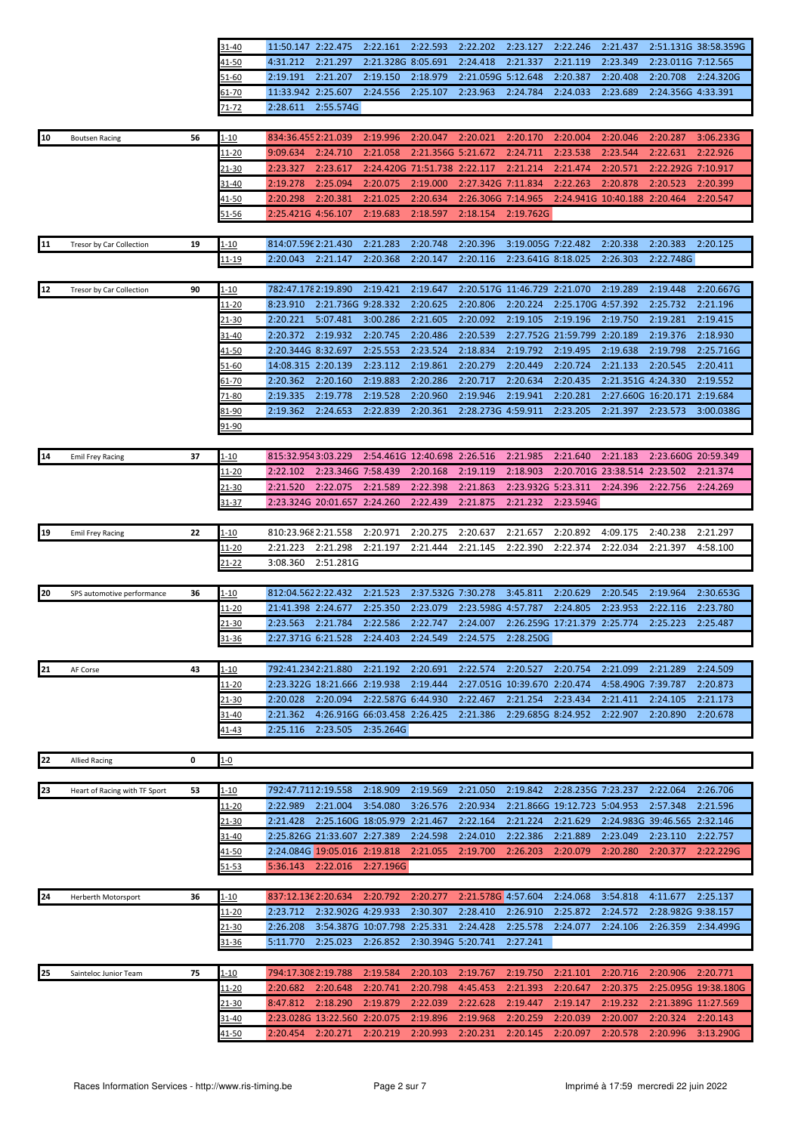| $31 - 40$                        |                    |  |  |  |                                                                                             | 11:50.147 2:22.475 2:22.161 2:22.593 2:22.202 2:23.127 2:22.246 2:21.437 2:51.131G 38:58.359G |
|----------------------------------|--------------------|--|--|--|---------------------------------------------------------------------------------------------|-----------------------------------------------------------------------------------------------|
|                                  |                    |  |  |  | 4:31.212 2:21.297 2:21.328G 8:05.691 2:24.418 2:21.337 2:21.119 2:23.349 2:23.011G 7:12.565 |                                                                                               |
| 41-50<br>51-60<br>61-70<br>71-72 |                    |  |  |  | 2:19.191 2:21.207 2:19.150 2:18.979 2:21.059G 5:12.648 2:20.387 2:20.408 2:20.708 2:24.320G |                                                                                               |
|                                  |                    |  |  |  | 11:33.942 2:25.607 2:24.556 2:25.107 2:23.963 2:24.784 2:24.033 2:23.689 2:24.356G 4:33.391 |                                                                                               |
|                                  | 2:28.611 2:55.574G |  |  |  |                                                                                             |                                                                                               |

| 10     | <b>Boutsen Racing</b>         | 56 | <u>1-10</u>   | 834:36.4552:21.039  |                              | 2:19.996                     | 2:20.047                     | 2:20.021           | 2:20.170                     | 2:20.004                     | 2:20.046                     | 2:20.287                     | 3:06.233G            |
|--------|-------------------------------|----|---------------|---------------------|------------------------------|------------------------------|------------------------------|--------------------|------------------------------|------------------------------|------------------------------|------------------------------|----------------------|
|        |                               |    | <u> 11-20</u> | 9:09.634            | 2:24.710                     | 2:21.058                     | 2:21.356G 5:21.672           |                    | 2:24.711                     | 2:23.538                     | 2:23.544                     | 2:22.631                     | 2:22.926             |
|        |                               |    | 21-30         | 2:23.327            | 2:23.617                     |                              | 2:24.420G 71:51.738 2:22.117 |                    | 2:21.214                     | 2:21.474                     | 2:20.571                     | 2:22.292G 7:10.917           |                      |
|        |                               |    | 31-40         | 2:19.278            | 2:25.094                     | 2:20.075                     | 2:19.000                     | 2:27.342G 7:11.834 |                              | 2:22.263                     | 2:20.878                     | 2:20.523                     | 2:20.399             |
|        |                               |    | 41-50         | 2:20.298            | 2:20.381                     | 2:21.025                     | 2:20.634                     | 2:26.306G 7:14.965 |                              |                              | 2:24.941G 10:40.188 2:20.464 |                              | 2:20.547             |
|        |                               |    | 51-56         | 2:25.421G 4:56.107  |                              | 2:19.683                     | 2:18.597                     | 2:18.154           | 2:19.762G                    |                              |                              |                              |                      |
|        |                               |    |               |                     |                              |                              |                              |                    |                              |                              |                              |                              |                      |
| 11     | Tresor by Car Collection      | 19 | 1-10          | 814:07.596 2:21.430 |                              | 2:21.283                     | 2:20.748                     | 2:20.396           | 3:19.005G 7:22.482           |                              | 2:20.338                     | 2:20.383                     | 2:20.125             |
|        |                               |    | 11-19         | 2:20.043            | 2:21.147                     | 2:20.368                     | 2:20.147                     | 2:20.116           | 2:23.641G 8:18.025           |                              | 2:26.303                     | 2:22.748G                    |                      |
|        |                               |    |               |                     |                              |                              |                              |                    |                              |                              |                              |                              |                      |
| $[12]$ | Tresor by Car Collection      | 90 | <u>1-10</u>   | 782:47.1782:19.890  |                              | 2:19.421                     | 2:19.647                     |                    | 2:20.517G 11:46.729 2:21.070 |                              | 2:19.289                     | 2:19.448                     | 2:20.667G            |
|        |                               |    | <u> 11-20</u> | 8:23.910            | 2:21.736G 9:28.332           |                              | 2:20.625                     | 2:20.806           | 2:20.224                     | 2:25.170G 4:57.392           |                              | 2:25.732                     | 2:21.196             |
|        |                               |    | 21-30         | 2:20.221            | 5:07.481                     | 3:00.286                     | 2:21.605                     | 2:20.092           | 2:19.105                     | 2:19.196                     | 2:19.750                     | 2:19.281                     | 2:19.415             |
|        |                               |    | 31-40         | 2:20.372            | 2:19.932                     | 2:20.745                     | 2:20.486                     | 2:20.539           | 2:27.752G 21:59.799          |                              | 2:20.189                     | 2:19.376                     | 2:18.930             |
|        |                               |    | 41-50         | 2:20.344G 8:32.697  |                              | 2:25.553                     | 2:23.524                     | 2:18.834           | 2:19.792                     | 2:19.495                     | 2:19.638                     | 2:19.798                     | 2:25.716G            |
|        |                               |    | <u>51-60</u>  | 14:08.315 2:20.139  |                              | 2:23.112                     | 2:19.861                     | 2:20.279           | 2:20.449                     | 2:20.724                     | 2:21.133                     | 2:20.545                     | 2:20.411             |
|        |                               |    | 61-70         | 2:20.362            | 2:20.160                     | 2:19.883                     | 2:20.286                     | 2:20.717           | 2:20.634                     | 2:20.435                     | 2:21.351G 4:24.330           |                              | 2:19.552             |
|        |                               |    | 71-80         | 2:19.335            | 2:19.778                     | 2:19.528                     | 2:20.960                     | 2:19.946           | 2:19.941                     | 2:20.281                     |                              | 2:27.660G 16:20.171 2:19.684 |                      |
|        |                               |    | 81-90         | 2:19.362            | 2:24.653                     | 2:22.839                     | 2:20.361                     | 2:28.273G 4:59.911 |                              | 2:23.205                     | 2:21.397                     | 2:23.573                     | 3:00.038G            |
|        |                               |    | 91-90         |                     |                              |                              |                              |                    |                              |                              |                              |                              |                      |
|        |                               |    |               |                     |                              |                              |                              |                    |                              |                              |                              |                              |                      |
|        |                               | 37 |               |                     |                              |                              |                              |                    |                              | 2:21.640                     | 2:21.183                     |                              |                      |
| 14     | <b>Emil Frey Racing</b>       |    | $1 - 10$      | 815:32.9543:03.229  | 2:23.346G 7:58.439           |                              | 2:54.461G 12:40.698 2:26.516 |                    | 2:21.985                     |                              |                              | 2:23.660G 20:59.349          |                      |
|        |                               |    | <u> 11-20</u> | 2:22.102            |                              |                              | 2:20.168                     | 2:19.119           | 2:18.903                     |                              | 2:20.701G 23:38.514 2:23.502 |                              | 2:21.374             |
|        |                               |    | $21 - 30$     | 2:21.520            | 2:22.075                     | 2:21.589                     | 2:22.398                     | 2:21.863           | 2:23.932G 5:23.311           |                              | 2:24.396                     | 2:22.756                     | 2:24.269             |
|        |                               |    | 31-37         |                     | 2:23.324G 20:01.657 2:24.260 |                              | 2:22.439                     | 2:21.875           | 2:21.232                     | 2:23.594G                    |                              |                              |                      |
|        |                               |    |               |                     |                              |                              |                              |                    |                              |                              |                              |                              |                      |
| 19     | <b>Emil Frey Racing</b>       | 22 | 1-10          |                     | 810:23.9682:21.558           | 2:20.971                     | 2:20.275                     | 2:20.637           | 2:21.657                     | 2:20.892                     | 4:09.175                     | 2:40.238                     | 2:21.297             |
|        |                               |    | <u> 11-20</u> | 2:21.223            | 2:21.298                     | 2:21.197                     | 2:21.444                     | 2:21.145           | 2:22.390                     | 2:22.374                     | 2:22.034                     | 2:21.397                     | 4:58.100             |
|        |                               |    | <u> 21-22</u> | 3:08.360            | 2:51.281G                    |                              |                              |                    |                              |                              |                              |                              |                      |
|        |                               |    |               |                     |                              |                              |                              |                    |                              |                              |                              |                              |                      |
| 20     | SPS automotive performance    | 36 | 1-10          | 812:04.5622:22.432  |                              | 2:21.523                     | 2:37.532G 7:30.278           |                    | 3:45.811                     | 2:20.629                     | 2:20.545                     | 2:19.964                     | 2:30.653G            |
|        |                               |    | <u> 11-20</u> | 21:41.398 2:24.677  |                              | 2:25.350                     | 2:23.079                     | 2:23.598G 4:57.787 |                              | 2:24.805                     | 2:23.953                     | 2:22.116                     | 2:23.780             |
|        |                               |    |               |                     |                              |                              |                              |                    |                              |                              |                              |                              |                      |
|        |                               |    | <u>21-30</u>  | 2:23.563            | 2:21.784                     | 2:22.586                     | 2:22.747                     | 2:24.007           |                              | 2:26.259G 17:21.379 2:25.774 |                              | 2:25.223                     | 2:25.487             |
|        |                               |    | $31 - 36$     | 2:27.371G 6:21.528  |                              | 2:24.403                     | 2:24.549                     | 2:24.575           | 2:28.250G                    |                              |                              |                              |                      |
|        |                               |    |               |                     |                              |                              |                              |                    |                              |                              |                              |                              |                      |
| 21     | AF Corse                      | 43 | <u>1-10</u>   | 792:41.2342:21.880  |                              | 2:21.192                     | 2:20.691                     | 2:22.574           | 2:20.527                     | 2:20.754                     | 2:21.099                     | 2:21.289                     | 2:24.509             |
|        |                               |    | 11-20         |                     | 2:23.322G 18:21.666 2:19.938 |                              | 2:19.444                     |                    | 2:27.051G 10:39.670 2:20.474 |                              | 4:58.490G 7:39.787           |                              | 2:20.873             |
|        |                               |    | 21-30         | 2:20.028            | 2:20.094                     | 2:22.587G 6:44.930           |                              | 2:22.467           | 2:21.254                     | 2:23.434                     | 2:21.411                     | 2:24.105                     | 2:21.173             |
|        |                               |    | 31-40         | 2:21.362            |                              | 4:26.916G 66:03.458 2:26.425 |                              | 2:21.386           | 2:29.685G 8:24.952           |                              | 2:22.907                     | 2:20.890                     | 2:20.678             |
|        |                               |    | $41 - 43$     |                     | 2:25.116 2:23.505 2:35.264G  |                              |                              |                    |                              |                              |                              |                              |                      |
|        |                               |    |               |                     |                              |                              |                              |                    |                              |                              |                              |                              |                      |
| 22     | <b>Allied Racing</b>          | 0  | $1 - 0$       |                     |                              |                              |                              |                    |                              |                              |                              |                              |                      |
|        |                               |    |               |                     |                              |                              |                              |                    |                              |                              |                              |                              |                      |
| 23     | Heart of Racing with TF Sport | 53 | $1 - 10$      | 792:47.7112:19.558  |                              | 2:18.909                     | 2:19.569                     | 2:21.050           | 2:19.842                     | 2:28.235G 7:23.237           |                              | 2:22.064                     | 2:26.706             |
|        |                               |    | $11 - 20$     | 2:22.989            | 2:21.004                     | 3:54.080                     | 3:26.576                     | 2:20.934           |                              | 2:21.866G 19:12.723 5:04.953 |                              | 2:57.348                     | 2:21.596             |
|        |                               |    | <u>21-30</u>  | 2:21.428            |                              | 2:25.160G 18:05.979 2:21.467 |                              | 2:22.164           | 2:21.224                     | 2:21.629                     |                              | 2:24.983G 39:46.565 2:32.146 |                      |
|        |                               |    | 31-40         |                     | 2:25.826G 21:33.607 2:27.389 |                              | 2:24.598                     | 2:24.010           | 2:22.386                     | 2:21.889                     | 2:23.049                     | 2:23.110                     | 2:22.757             |
|        |                               |    | 41-50         |                     | 2:24.084G 19:05.016 2:19.818 |                              | 2:21.055                     | 2:19.700           | 2:26.203                     | 2:20.079                     | 2:20.280                     | 2:20.377                     | 2:22.229G            |
|        |                               |    | 51-53         | 5:36.143            | 2:22.016                     | 2:27.196G                    |                              |                    |                              |                              |                              |                              |                      |
|        |                               |    |               |                     |                              |                              |                              |                    |                              |                              |                              |                              |                      |
| 24     | Herberth Motorsport           | 36 | $1 - 10$      | 837:12.136 2:20.634 |                              | 2:20.792                     | 2:20.277                     | 2:21.578G 4:57.604 |                              | 2:24.068                     | 3:54.818                     | 4:11.677                     | 2:25.137             |
|        |                               |    | <u> 11-20</u> | 2:23.712            | 2:32.902G 4:29.933           |                              | 2:30.307                     | 2:28.410           | 2:26.910                     | 2:25.872                     | 2:24.572                     | 2:28.982G 9:38.157           |                      |
|        |                               |    | 21-30         | 2:26.208            |                              | 3:54.387G 10:07.798 2:25.331 |                              | 2:24.428           | 2:25.578                     | 2:24.077                     | 2:24.106                     | 2:26.359                     | 2:34.499G            |
|        |                               |    | 31-36         | 5:11.770            | 2:25.023                     | 2:26.852                     | 2:30.394G 5:20.741           |                    | 2:27.241                     |                              |                              |                              |                      |
|        |                               |    |               |                     |                              |                              |                              |                    |                              |                              |                              |                              |                      |
| 25     | Sainteloc Junior Team         | 75 | $1 - 10$      | 794:17.308 2:19.788 |                              | 2:19.584                     | 2:20.103                     | 2:19.767           | 2:19.750                     | 2:21.101                     | 2:20.716                     | 2:20.906                     | 2:20.771             |
|        |                               |    | <u> 11-20</u> | 2:20.682            | 2:20.648                     | 2:20.741                     | 2:20.798                     | 4:45.453           | 2:21.393                     | 2:20.647                     | 2:20.375                     |                              | 2:25.095G 19:38.180G |
|        |                               |    | <u>21-30</u>  | 8:47.812            | 2:18.290                     | 2:19.879                     | 2:22.039                     | 2:22.628           | 2:19.447                     | 2:19.147                     | 2:19.232                     | 2:21.389G 11:27.569          |                      |
|        |                               |    | 31-40         |                     | 2:23.028G 13:22.560 2:20.075 |                              | 2:19.896                     | 2:19.968           | 2:20.259                     | 2:20.039                     | 2:20.007                     | 2:20.324                     | 2:20.143             |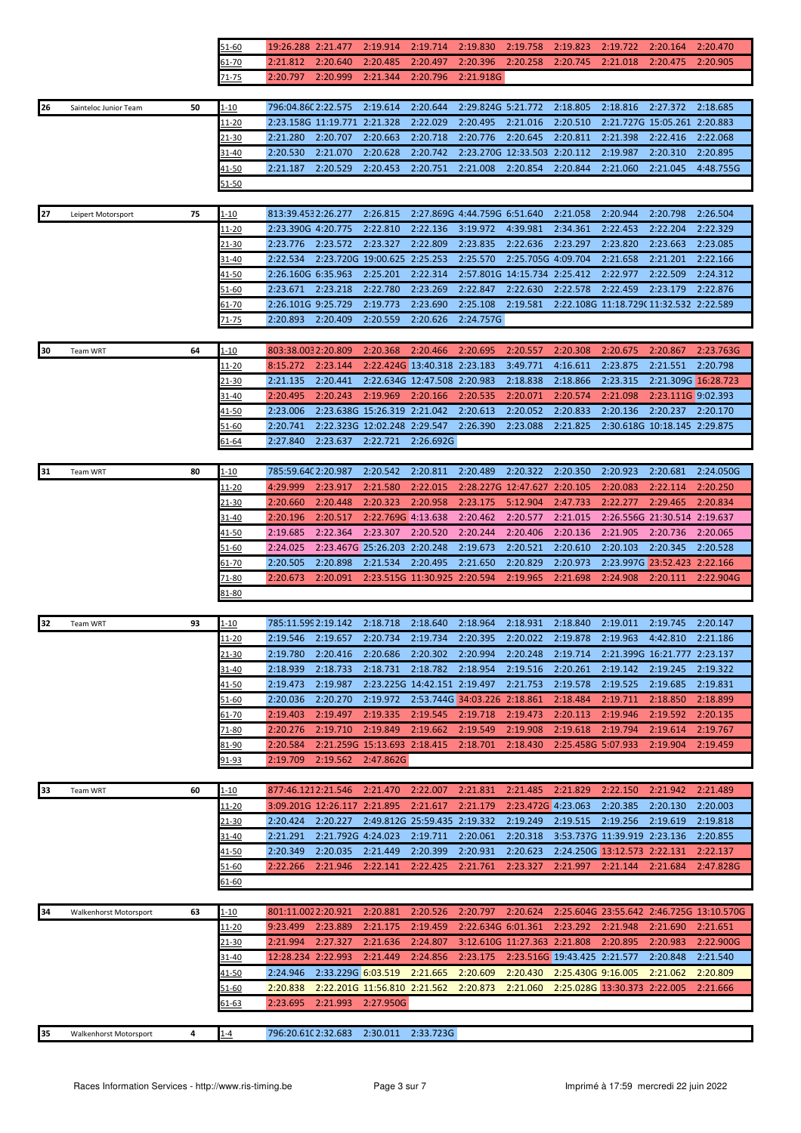|    |                        |    | 51-60          | 19:26.288 2:21.477   |                                          | 2:19.914           | 2:19.714                     | 2:19.830                     | 2:19.758                     | 2:19.823                     | 2:19.722                                | 2:20.164                                 | 2:20.470                                 |
|----|------------------------|----|----------------|----------------------|------------------------------------------|--------------------|------------------------------|------------------------------|------------------------------|------------------------------|-----------------------------------------|------------------------------------------|------------------------------------------|
|    |                        |    | 61-70          | 2:21.812             | 2:20.640                                 | 2:20.485           | 2:20.497                     | 2:20.396                     | 2:20.258                     | 2:20.745                     | 2:21.018                                | 2:20.475                                 | 2:20.905                                 |
|    |                        |    | 71-75          | 2:20.797             | 2:20.999                                 | 2:21.344           | 2:20.796                     | 2:21.918G                    |                              |                              |                                         |                                          |                                          |
|    |                        |    |                |                      |                                          |                    |                              |                              |                              |                              |                                         |                                          |                                          |
| 26 | Sainteloc Junior Team  | 50 | $1 - 10$       | 796:04.860 2:22.575  |                                          | 2:19.614           | 2:20.644                     | 2:29.824G 5:21.772           |                              | 2:18.805                     | 2:18.816                                | 2:27.372                                 | 2:18.685                                 |
|    |                        |    | <u> 11-20</u>  |                      | 2:23.158G 11:19.771 2:21.328             |                    | 2:22.029                     | 2:20.495                     | 2:21.016                     | 2:20.510                     |                                         | 2:21.727G 15:05.261 2:20.883             |                                          |
|    |                        |    | $21 - 30$      | 2:21.280             | 2:20.707                                 | 2:20.663           | 2:20.718                     | 2:20.776                     | 2:20.645                     | 2:20.811                     | 2:21.398                                | 2:22.416                                 | 2:22.068                                 |
|    |                        |    | 31-40          | 2:20.530             | 2:21.070                                 | 2:20.628           | 2:20.742                     |                              | 2:23.270G 12:33.503          | 2:20.112                     | 2:19.987                                | 2:20.310                                 | 2:20.895                                 |
|    |                        |    | 41-50          | 2:21.187             | 2:20.529                                 | 2:20.453           | 2:20.751                     | 2:21.008                     | 2:20.854                     | 2:20.844                     | 2:21.060                                | 2:21.045                                 | 4:48.755G                                |
|    |                        |    | 51-50          |                      |                                          |                    |                              |                              |                              |                              |                                         |                                          |                                          |
|    |                        |    |                |                      |                                          |                    |                              |                              |                              |                              |                                         |                                          |                                          |
| 27 | Leipert Motorsport     | 75 | 1-10           | 813:39.4532:26.277   |                                          | 2:26.815           |                              | 2:27.869G 4:44.759G 6:51.640 |                              | 2:21.058                     | 2:20.944                                | 2:20.798                                 | 2:26.504                                 |
|    |                        |    | 11-20          | 2:23.390G 4:20.775   |                                          | 2:22.810           | 2:22.136                     | 3:19.972                     | 4:39.981                     | 2:34.361                     | 2:22.453                                | 2:22.204                                 | 2:22.329                                 |
|    |                        |    | 21-30          | 2:23.776             | 2:23.572                                 | 2:23.327           | 2:22.809                     | 2:23.835                     | 2:22.636                     | 2:23.297                     | 2:23.820                                | 2:23.663                                 | 2:23.085                                 |
|    |                        |    | 31-40          | 2:22.534             | 2:23.720G 19:00.625 2:25.253             |                    |                              | 2:25.570                     | 2:25.705G 4:09.704           |                              | 2:21.658                                | 2:21.201                                 | 2:22.166                                 |
|    |                        |    | <u>41-50</u>   | 2:26.160G 6:35.963   |                                          | 2:25.201           | 2:22.314                     |                              | 2:57.801G 14:15.734 2:25.412 |                              | 2:22.977                                | 2:22.509                                 | 2:24.312                                 |
|    |                        |    | 51-60          | 2:23.671             | 2:23.218                                 | 2:22.780           | 2:23.269                     | 2:22.847                     | 2:22.630                     | 2:22.578                     | 2:22.459                                | 2:23.179                                 | 2:22.876                                 |
|    |                        |    | 61-70          | 2:26.101G 9:25.729   |                                          | 2:19.773           | 2:23.690                     | 2:25.108                     | 2:19.581                     |                              | 2:22.108G 11:18.729C 11:32.532 2:22.589 |                                          |                                          |
|    |                        |    | 71-75          | 2:20.893             | 2:20.409                                 | 2:20.559           | 2:20.626                     | 2:24.757G                    |                              |                              |                                         |                                          |                                          |
|    |                        |    |                |                      |                                          |                    |                              |                              |                              |                              |                                         |                                          |                                          |
| 30 | Team WRT               | 64 | $1 - 10$       | 803:38.0032:20.809   |                                          | 2:20.368           | 2:20.466                     | 2:20.695                     | 2:20.557                     | 2:20.308                     | 2:20.675                                | 2:20.867                                 | 2:23.763G                                |
|    |                        |    | 11-20          | 8:15.272             | 2:23.144                                 |                    | 2:22.424G 13:40.318 2:23.183 |                              | 3:49.771                     | 4:16.611                     | 2:23.875                                | 2:21.551                                 | 2:20.798                                 |
|    |                        |    | 21-30          | 2:21.135             | 2:20.441                                 |                    | 2:22.634G 12:47.508 2:20.983 |                              | 2:18.838                     | 2:18.866                     | 2:23.315                                | 2:21.309G 16:28.723                      |                                          |
|    |                        |    | 31-40          | 2:20.495             | 2:20.243                                 | 2:19.969           | 2:20.166                     | 2:20.535                     | 2:20.071                     | 2:20.574                     | 2:21.098                                | 2:23.111G 9:02.393                       |                                          |
|    |                        |    | 41-50          | 2:23.006             | 2:23.638G 15:26.319 2:21.042             |                    |                              | 2:20.613                     | 2:20.052                     | 2:20.833                     | 2:20.136                                | 2:20.237                                 | 2:20.170                                 |
|    |                        |    | 51-60          | 2:20.741             | 2:22.323G 12:02.248 2:29.547             |                    |                              | 2:26.390                     | 2:23.088                     | 2:21.825                     |                                         | 2:30.618G 10:18.145 2:29.875             |                                          |
|    |                        |    | <u>51-64</u>   | 2:27.840             | 2:23.637                                 | 2:22.721           | 2:26.692G                    |                              |                              |                              |                                         |                                          |                                          |
|    |                        |    |                |                      |                                          |                    |                              |                              |                              |                              |                                         |                                          |                                          |
| 31 | Team WRT               | 80 | <u>1-10</u>    | 785:59.640 2:20.987  |                                          | 2:20.542           | 2:20.811                     | 2:20.489                     | 2:20.322                     | 2:20.350                     | 2:20.923                                | 2:20.681                                 | 2:24.050G                                |
|    |                        |    | <u> 11-20</u>  | 4:29.999             | 2:23.917                                 | 2:21.580           | 2:22.015                     |                              | 2:28.227G 12:47.627 2:20.105 |                              | 2:20.083                                | 2:22.114                                 | 2:20.250                                 |
|    |                        |    | 21-30          | 2:20.660             | 2:20.448                                 | 2:20.323           | 2:20.958                     | 2:23.175                     | 5:12.904                     | 2:47.733                     | 2:22.277                                | 2:29.465                                 | 2:20.834                                 |
|    |                        |    | 31-40          | 2:20.196             | 2:20.517                                 | 2:22.769G 4:13.638 |                              | 2:20.462                     | 2:20.577                     | 2:21.015                     |                                         | 2:26.556G 21:30.514 2:19.637             |                                          |
|    |                        |    | 41-50          | 2:19.685             | 2:22.364                                 | 2:23.307           | 2:20.520                     | 2:20.244                     | 2:20.406                     | 2:20.136                     | 2:21.905                                | 2:20.736                                 | 2:20.065<br>2:20.528                     |
|    |                        |    | 51-60          | 2:24.025<br>2:20.505 | 2:23.467G 25:26.203 2:20.248<br>2:20.898 | 2:21.534           | 2:20.495                     | 2:19.673                     | 2:20.521<br>2:20.829         | 2:20.610                     | 2:20.103                                | 2:20.345<br>2:23.997G 23:52.423 2:22.166 |                                          |
|    |                        |    | 61-70<br>71-80 | 2:20.673             | 2:20.091                                 |                    | 2:23.515G 11:30.925 2:20.594 | 2:21.650                     | 2:19.965                     | 2:20.973<br>2:21.698         | 2:24.908                                | 2:20.111                                 | 2:22.904G                                |
|    |                        |    | 81-80          |                      |                                          |                    |                              |                              |                              |                              |                                         |                                          |                                          |
|    |                        |    |                |                      |                                          |                    |                              |                              |                              |                              |                                         |                                          |                                          |
| 32 | Team WRT               | 93 | <u>1-10</u>    | 785:11.599 2:19.142  |                                          | 2:18.718           | 2:18.640                     | 2:18.964                     | 2:18.931                     | 2:18.840                     | 2:19.011                                | 2:19.745                                 | 2:20.147                                 |
|    |                        |    | 11-20          |                      | 2:19.546 2:19.657 2:20.734               |                    | 2:19.734                     | 2:20.395                     | 2:20.022 2:19.878            |                              | 2:19.963                                | 4:42.810 2:21.186                        |                                          |
|    |                        |    | 21-30          | 2:19.780             | 2:20.416                                 | 2:20.686           | 2:20.302                     | 2:20.994                     | 2:20.248                     | 2:19.714                     |                                         | 2:21.399G 16:21.777 2:23.137             |                                          |
|    |                        |    | 31-40          | 2:18.939             | 2:18.733                                 | 2:18.731           | 2:18.782                     | 2:18.954                     | 2:19.516                     | 2:20.261                     | 2:19.142                                | 2:19.245                                 | 2:19.322                                 |
|    |                        |    | 41-50          | 2:19.473             | 2:19.987                                 |                    | 2:23.225G 14:42.151 2:19.497 |                              | 2:21.753                     | 2:19.578                     | 2:19.525                                | 2:19.685                                 | 2:19.831                                 |
|    |                        |    | 51-60          | 2:20.036             | 2:20.270                                 | 2:19.972           |                              | 2:53.744G 34:03.226 2:18.861 |                              | 2:18.484                     | 2:19.711                                | 2:18.850                                 | 2:18.899                                 |
|    |                        |    | 61-70          | 2:19.403             | 2:19.497                                 | 2:19.335           | 2:19.545                     | 2:19.718                     | 2:19.473                     | 2:20.113                     | 2:19.946                                | 2:19.592                                 | 2:20.135                                 |
|    |                        |    | 71-80          | 2:20.276             | 2:19.710                                 | 2:19.849           | 2:19.662                     | 2:19.549                     | 2:19.908                     | 2:19.618                     | 2:19.794                                | 2:19.614                                 | 2:19.767                                 |
|    |                        |    | 81-90          | 2:20.584             | 2:21.259G 15:13.693 2:18.415             |                    |                              | 2:18.701                     | 2:18.430                     | 2:25.458G 5:07.933           |                                         | 2:19.904                                 | 2:19.459                                 |
|    |                        |    | <u>91-93</u>   | 2:19.709             | 2:19.562                                 | 2:47.862G          |                              |                              |                              |                              |                                         |                                          |                                          |
|    |                        |    |                |                      |                                          |                    |                              |                              |                              |                              |                                         |                                          |                                          |
| 33 | Team WRT               | 60 | <u>1-10</u>    | 877:46.1212:21.546   |                                          | 2:21.470           | 2:22.007                     | 2:21.831                     | 2:21.485                     | 2:21.829                     | 2:22.150                                | 2:21.942                                 | 2:21.489                                 |
|    |                        |    | <u> 11-20</u>  |                      | 3:09.201G 12:26.117 2:21.895             |                    | 2:21.617                     | 2:21.179                     | 2:23.472G 4:23.063           |                              | 2:20.385                                | 2:20.130                                 | 2:20.003                                 |
|    |                        |    | 21-30          | 2:20.424             | 2:20.227                                 |                    | 2:49.812G 25:59.435 2:19.332 |                              | 2:19.249                     | 2:19.515                     | 2:19.256                                | 2:19.619                                 | 2:19.818                                 |
|    |                        |    | 31-40          | 2:21.291             | 2:21.792G 4:24.023                       |                    | 2:19.711                     | 2:20.061                     | 2:20.318                     |                              | 3:53.737G 11:39.919 2:23.136            |                                          | 2:20.855                                 |
|    |                        |    | 41-50          | 2:20.349             | 2:20.035                                 | 2:21.449           | 2:20.399                     | 2:20.931                     | 2:20.623                     |                              | 2:24.2506 13:12.573 2:22.131            |                                          | 2:22.137                                 |
|    |                        |    | 51-60          | 2:22.266             | 2:21.946                                 | 2:22.141           | 2:22.425                     | 2:21.761                     | 2:23.327                     | 2:21.997                     | 2:21.144                                | 2:21.684                                 | 2:47.828G                                |
|    |                        |    | 61-60          |                      |                                          |                    |                              |                              |                              |                              |                                         |                                          |                                          |
|    |                        |    |                |                      |                                          |                    |                              |                              |                              |                              |                                         |                                          |                                          |
| 34 | Walkenhorst Motorsport | 63 | 1-10           | 801:11.0022:20.921   |                                          | 2:20.881           | 2:20.526                     | 2:20.797                     | 2:20.624                     |                              |                                         |                                          | 2:25.604G 23:55.642 2:46.725G 13:10.570G |
|    |                        |    | 11-20          | 9:23.499             | 2:23.889                                 | 2:21.175           | 2:19.459                     |                              | 2:22.634G 6:01.361           | 2:23.292                     | 2:21.948                                | 2:21.690                                 | 2:21.651                                 |
|    |                        |    | 21-30          | 2:21.994             | 2:27.327                                 | 2:21.636           | 2:24.807                     |                              | 3:12.610G 11:27.363 2:21.808 |                              | 2:20.895                                | 2:20.983                                 | 2:22.900G                                |
|    |                        |    | 31-40          | 12:28.234 2:22.993   |                                          | 2:21.449           | 2:24.856                     | 2:23.175                     |                              | 2:23.516G 19:43.425 2:21.577 |                                         | 2:20.848                                 | 2:21.540                                 |
|    |                        |    | <u>41-50</u>   | 2:24.946             | 2:33.229G 6:03.519                       |                    | 2:21.665                     | 2:20.609                     | 2:20.430                     | 2:25.430G 9:16.005           |                                         | 2:21.062                                 | 2:20.809                                 |
|    |                        |    | 51-60          | 2:20.838             | 2:22.2016 11:56.810 2:21.562             |                    |                              | 2:20.873                     | 2:21.060                     |                              | 2:25.028G 13:30.373 2:22.005            |                                          | 2:21.666                                 |
|    |                        |    | <u>61-63</u>   | 2:23.695             | 2:21.993                                 | 2:27.950G          |                              |                              |                              |                              |                                         |                                          |                                          |
|    |                        |    |                |                      |                                          |                    |                              |                              |                              |                              |                                         |                                          |                                          |
| 35 | Walkenhorst Motorsport | 4  | $1 - 4$        | 796:20.610 2:32.683  |                                          | 2:30.011           | 2:33.723G                    |                              |                              |                              |                                         |                                          |                                          |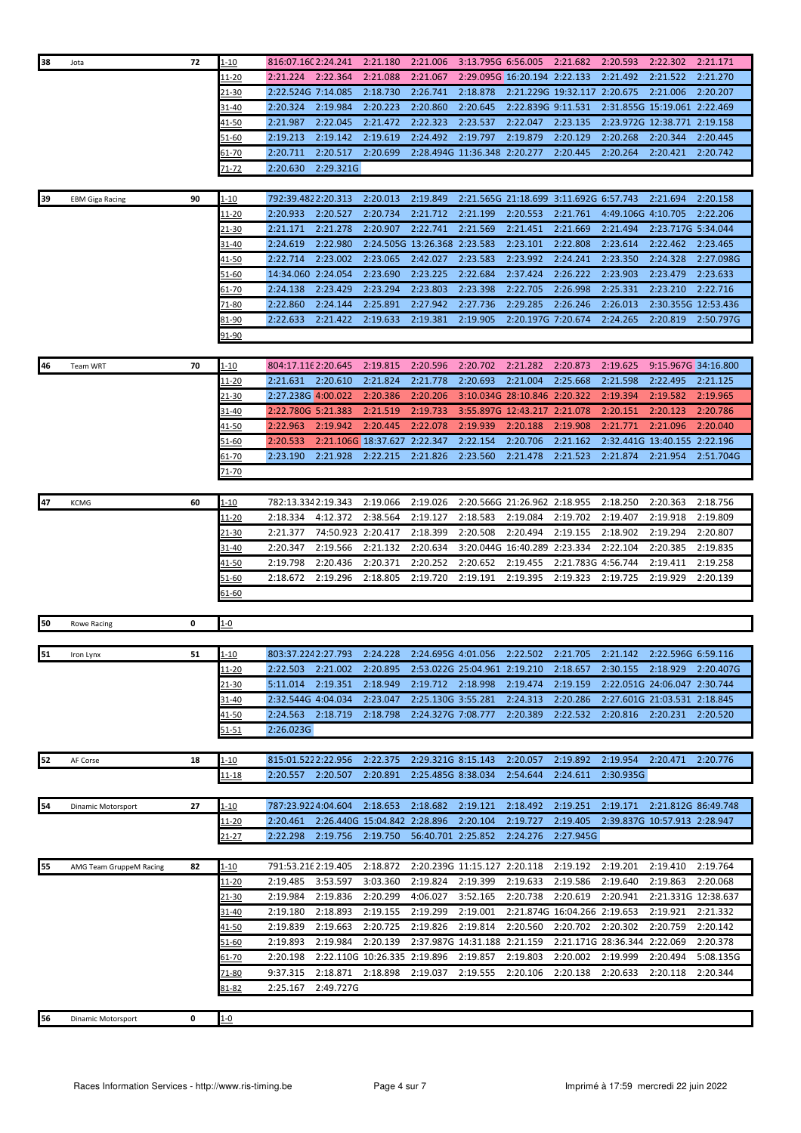| 38 | Jota                    | 72 | $1 - 10$           | 816:07.160 2:24.241                      |                    | 2:21.180                     | 2:21.006                     | 3:13.795G 6:56.005   |                                          | 2:21.682                     | 2:20.593                     | 2:22.302                     | 2:21.171             |
|----|-------------------------|----|--------------------|------------------------------------------|--------------------|------------------------------|------------------------------|----------------------|------------------------------------------|------------------------------|------------------------------|------------------------------|----------------------|
|    |                         |    | 11-20              | 2:21.224                                 | 2:22.364           | 2:21.088                     | 2:21.067                     |                      | 2:29.095G 16:20.194 2:22.133             |                              | 2:21.492                     | 2:21.522                     | 2:21.270             |
|    |                         |    | 21-30              | 2:22.524G 7:14.085                       |                    | 2:18.730                     | 2:26.741                     | 2:18.878             |                                          | 2:21.229G 19:32.117 2:20.675 |                              | 2:21.006                     | 2:20.207             |
|    |                         |    | 31-40              | 2:20.324                                 | 2:19.984           | 2:20.223                     | 2:20.860                     | 2:20.645             | 2:22.839G 9:11.531                       |                              | 2:31.855G 15:19.061 2:22.469 |                              |                      |
|    |                         |    | $41 - 50$          | 2:21.987                                 | 2:22.045           | 2:21.472                     | 2:22.323                     | 2:23.537             | 2:22.047                                 | 2:23.135                     |                              | 2:23.972G 12:38.771 2:19.158 |                      |
|    |                         |    | 51-60              | 2:19.213                                 | 2:19.142           | 2:19.619                     | 2:24.492                     | 2:19.797             | 2:19.879                                 | 2:20.129                     | 2:20.268                     | 2:20.344                     | 2:20.445             |
|    |                         |    | $51 - 70$          | 2:20.711                                 | 2:20.517           | 2:20.699                     | 2:28.494G 11:36.348 2:20.277 |                      |                                          | 2:20.445                     | 2:20.264                     | 2:20.421                     | 2:20.742             |
|    |                         |    | 71-72              | 2:20.630                                 | 2:29.321G          |                              |                              |                      |                                          |                              |                              |                              |                      |
|    |                         |    |                    |                                          |                    |                              |                              |                      |                                          |                              |                              |                              |                      |
| 39 | <b>EBM Giga Racing</b>  | 90 | $1 - 10$           | 792:39.4822:20.313                       |                    | 2:20.013                     | 2:19.849                     |                      | 2:21.565G 21:18.699 3:11.692G 6:57.743   |                              |                              | 2:21.694                     | 2:20.158             |
|    |                         |    | 11-20              | 2:20.933                                 | 2:20.527           | 2:20.734                     | 2:21.712                     | 2:21.199             | 2:20.553                                 | 2:21.761                     | 4:49.106G 4:10.705           |                              | 2:22.206             |
|    |                         |    | <u>21-30</u>       | 2:21.171                                 | 2:21.278           | 2:20.907                     | 2:22.741                     | 2:21.569             | 2:21.451                                 | 2:21.669                     | 2:21.494                     | 2:23.717G 5:34.044           |                      |
|    |                         |    | 31-40              | 2:24.619                                 | 2:22.980           |                              | 2:24.505G 13:26.368 2:23.583 |                      | 2:23.101                                 | 2:22.808                     | 2:23.614                     | 2:22.462                     | 2:23.465             |
|    |                         |    | $41 - 50$          | 2:22.714                                 | 2:23.002           | 2:23.065                     | 2:42.027                     | 2:23.583             | 2:23.992                                 | 2:24.241                     | 2:23.350                     | 2:24.328                     | 2:27.098G            |
|    |                         |    | 51-60              | 14:34.060 2:24.054                       |                    | 2:23.690                     | 2:23.225                     | 2:22.684             | 2:37.424                                 | 2:26.222                     | 2:23.903                     | 2:23.479                     | 2:23.633             |
|    |                         |    | 61-70              | 2:24.138                                 | 2:23.429           | 2:23.294                     | 2:23.803                     | 2:23.398             | 2:22.705                                 | 2:26.998                     | 2:25.331                     | 2:23.210                     | 2:22.716             |
|    |                         |    | 71-80              | 2:22.860                                 | 2:24.144           | 2:25.891                     | 2:27.942                     | 2:27.736             | 2:29.285                                 | 2:26.246                     | 2:26.013                     | 2:30.355G 12:53.436          |                      |
|    |                         |    | 81-90              | 2:22.633                                 | 2:21.422           | 2:19.633                     | 2:19.381                     | 2:19.905             | 2:20.197G 7:20.674                       |                              | 2:24.265                     | 2:20.819                     | 2:50.797G            |
|    |                         |    | 91-90              |                                          |                    |                              |                              |                      |                                          |                              |                              |                              |                      |
|    |                         |    |                    |                                          |                    |                              |                              |                      |                                          |                              |                              |                              |                      |
| 46 | Team WRT                | 70 | 1-10               | 804:17.116 2:20.645                      |                    | 2:19.815                     | 2:20.596                     | 2:20.702<br>2:20.693 | 2:21.282                                 | 2:20.873                     | 2:19.625                     | 9:15.967G 34:16.800          | 2:21.125             |
|    |                         |    | 11-20              | 2:21.631                                 | 2:20.610           | 2:21.824                     | 2:21.778                     |                      | 2:21.004                                 | 2:25.668                     | 2:21.598                     | 2:22.495                     |                      |
|    |                         |    | 21-30              | 2:27.238G 4:00.022<br>2:22.780G 5:21.383 |                    | 2:20.386                     | 2:20.206<br>2:19.733         |                      | 3:10.034G 28:10.846 2:20.322             |                              | 2:19.394                     | 2:19.582<br>2:20.123         | 2:19.965             |
|    |                         |    | 31-40<br>41-50     | 2:22.963                                 | 2:19.942           | 2:21.519<br>2:20.445         | 2:22.078                     | 2:19.939             | 3:55.897G 12:43.217 2:21.078<br>2:20.188 | 2:19.908                     | 2:20.151<br>2:21.771         | 2:21.096                     | 2:20.786<br>2:20.040 |
|    |                         |    |                    |                                          |                    | 2:21.106G 18:37.627 2:22.347 |                              | 2:22.154             | 2:20.706                                 | 2:21.162                     |                              | 2:32.441G 13:40.155 2:22.196 |                      |
|    |                         |    | 51-60              | 2:20.533<br>2:23.190                     | 2:21.928           | 2:22.215                     | 2:21.826                     | 2:23.560             | 2:21.478                                 | 2:21.523                     | 2:21.874                     | 2:21.954                     | 2:51.704G            |
|    |                         |    | 61-70<br>$71 - 70$ |                                          |                    |                              |                              |                      |                                          |                              |                              |                              |                      |
|    |                         |    |                    |                                          |                    |                              |                              |                      |                                          |                              |                              |                              |                      |
| 47 | <b>KCMG</b>             | 60 | $1 - 10$           | 782:13.3342:19.343                       |                    | 2:19.066                     | 2:19.026                     |                      | 2:20.566G 21:26.962 2:18.955             |                              | 2:18.250                     | 2:20.363                     | 2:18.756             |
|    |                         |    | 11-20              | 2:18.334                                 | 4:12.372           | 2:38.564                     | 2:19.127                     | 2:18.583             | 2:19.084                                 | 2:19.702                     | 2:19.407                     | 2:19.918                     | 2:19.809             |
|    |                         |    | 21-30              | 2:21.377                                 | 74:50.923 2:20.417 |                              | 2:18.399                     | 2:20.508             | 2:20.494                                 | 2:19.155                     | 2:18.902                     | 2:19.294                     | 2:20.807             |
|    |                         |    | 31-40              | 2:20.347                                 | 2:19.566           | 2:21.132                     | 2:20.634                     |                      | 3:20.044G 16:40.289 2:23.334             |                              | 2:22.104                     | 2:20.385                     | 2:19.835             |
|    |                         |    | 41-50              | 2:19.798                                 | 2:20.436           | 2:20.371                     | 2:20.252                     | 2:20.652             | 2:19.455                                 | 2:21.783G 4:56.744           |                              | 2:19.411                     | 2:19.258             |
|    |                         |    | 51-60              | 2:18.672                                 | 2:19.296           | 2:18.805                     | 2:19.720                     | 2:19.191             | 2:19.395                                 | 2:19.323                     | 2:19.725                     | 2:19.929                     | 2:20.139             |
|    |                         |    | 61-60              |                                          |                    |                              |                              |                      |                                          |                              |                              |                              |                      |
|    |                         |    |                    |                                          |                    |                              |                              |                      |                                          |                              |                              |                              |                      |
| 50 | Rowe Racing             | 0  | $1 - 0$            |                                          |                    |                              |                              |                      |                                          |                              |                              |                              |                      |
|    |                         |    |                    |                                          |                    |                              |                              |                      |                                          |                              |                              |                              |                      |
| 51 | Iron Lynx               | 51 | $1 - 10$           | 803:37.2242:27.793                       |                    | 2:24.228                     | 2:24.695G 4:01.056           |                      | 2:22.502                                 | 2:21.705                     | 2:21.142                     | 2:22.596G 6:59.116           |                      |
|    |                         |    | <u> 11-20</u>      | 2:22.503                                 | 2:21.002           | 2:20.895                     | 2:53.022G 25:04.961 2:19.210 |                      |                                          | 2:18.657                     | 2:30.155 2:18.929            |                              | 2:20.407G            |
|    |                         |    | 21-30              | 5:11.014                                 | 2:19.351           | 2:18.949                     | 2:19.712                     | 2:18.998             | 2:19.474                                 | 2:19.159                     | 2:22.051G 24:06.047 2:30.744 |                              |                      |
|    |                         |    | 31-40              | 2:32.544G 4:04.034                       |                    | 2:23.047                     | 2:25.130G 3:55.281           |                      | 2:24.313                                 | 2:20.286                     | 2:27.601G 21:03.531 2:18.845 |                              |                      |
|    |                         |    | 41-50              | 2:24.563                                 | 2:18.719           | 2:18.798                     | 2:24.327G 7:08.777           |                      | 2:20.389                                 | 2:22.532                     | 2:20.816                     | 2:20.231                     | 2:20.520             |
|    |                         |    | 51-51              | 2:26.023G                                |                    |                              |                              |                      |                                          |                              |                              |                              |                      |
|    |                         |    |                    |                                          |                    |                              |                              |                      |                                          |                              |                              |                              |                      |
| 52 | AF Corse                | 18 | $1 - 10$           | 815:01.5222:22.956                       |                    | 2:22.375                     | 2:29.321G 8:15.143           |                      | 2:20.057                                 | 2:19.892                     | 2:19.954                     | 2:20.471                     | 2:20.776             |
|    |                         |    | <u> 11-18</u>      | 2:20.557                                 | 2:20.507           | 2:20.891                     | 2:25.485G 8:38.034           |                      | 2:54.644                                 | 2:24.611                     | 2:30.935G                    |                              |                      |
|    |                         |    |                    |                                          |                    |                              |                              |                      |                                          |                              |                              |                              |                      |
| 54 | Dinamic Motorsport      | 27 | <u>1-10</u>        | 787:23.9224:04.604                       |                    | 2:18.653                     | 2:18.682                     | 2:19.121             | 2:18.492                                 | 2:19.251                     | 2:19.171 2:21.812G 86:49.748 |                              |                      |
|    |                         |    | <u> 11-20</u>      | 2:20.461                                 |                    | 2:26.440G 15:04.842 2:28.896 |                              | 2:20.104             | 2:19.727                                 | 2:19.405                     |                              | 2:39.837G 10:57.913 2:28.947 |                      |
|    |                         |    | 21-27              | 2:22.298                                 | 2:19.756           | 2:19.750                     | 56:40.701 2:25.852           |                      | 2:24.276                                 | 2:27.945G                    |                              |                              |                      |
| 55 | AMG Team GruppeM Racing | 82 | <u>1-10</u>        | 791:53.216 2:19.405                      |                    | 2:18.872                     | 2:20.239G 11:15.127 2:20.118 |                      |                                          | 2:19.192                     | 2:19.201                     | 2:19.410                     | 2:19.764             |
|    |                         |    | 11-20              | 2:19.485                                 | 3:53.597           | 3:03.360                     | 2:19.824                     | 2:19.399             | 2:19.633                                 | 2:19.586                     | 2:19.640                     | 2:19.863                     | 2:20.068             |
|    |                         |    | 21-30              | 2:19.984                                 | 2:19.836           | 2:20.299                     | 4:06.027                     | 3:52.165             | 2:20.738                                 | 2:20.619                     | 2:20.941                     | 2:21.331G 12:38.637          |                      |
|    |                         |    | 31-40              | 2:19.180                                 | 2:18.893           | 2:19.155                     | 2:19.299                     | 2:19.001             |                                          | 2:21.874G 16:04.266 2:19.653 |                              | 2:19.921                     | 2:21.332             |
|    |                         |    | 41-50              | 2:19.839                                 | 2:19.663           | 2:20.725                     | 2:19.826                     | 2:19.814             | 2:20.560                                 | 2:20.702                     | 2:20.302                     | 2:20.759                     | 2:20.142             |
|    |                         |    | 51-60              | 2:19.893                                 | 2:19.984           | 2:20.139                     | 2:37.987G 14:31.188 2:21.159 |                      |                                          |                              | 2:21.171G 28:36.344 2:22.069 |                              | 2:20.378             |
|    |                         |    | $61 - 70$          | 2:20.198                                 |                    | 2:22.110G 10:26.335 2:19.896 |                              | 2:19.857             | 2:19.803                                 | 2:20.002                     | 2:19.999                     | 2:20.494                     | 5:08.135G            |
|    |                         |    | 71-80              | 9:37.315                                 | 2:18.871           | 2:18.898                     | 2:19.037                     | 2:19.555             | 2:20.106                                 | 2:20.138                     | 2:20.633                     | 2:20.118                     | 2:20.344             |
|    |                         |    | $81 - 82$          | 2:25.167                                 | 2:49.727G          |                              |                              |                      |                                          |                              |                              |                              |                      |
|    |                         |    |                    |                                          |                    |                              |                              |                      |                                          |                              |                              |                              |                      |
| 56 | Dinamic Motorsport      | 0  | $1 - 0$            |                                          |                    |                              |                              |                      |                                          |                              |                              |                              |                      |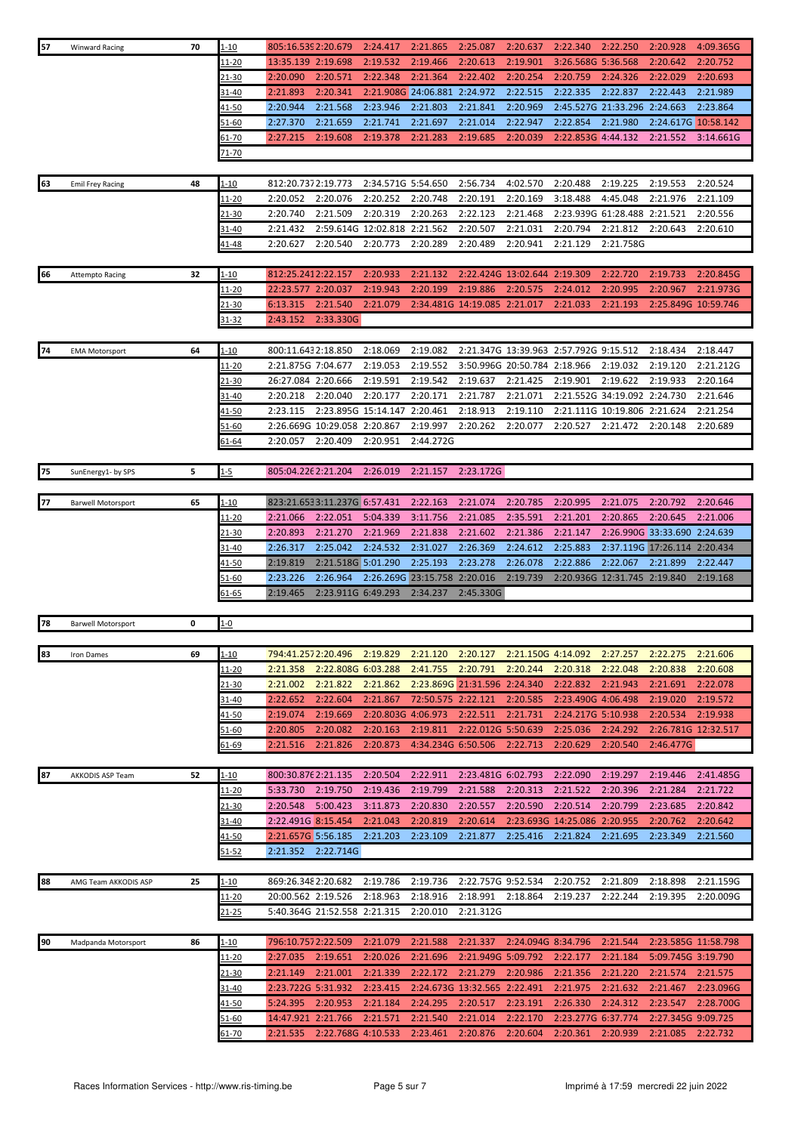| 57 | <b>Winward Racing</b>     | 70 | $1 - 10$      | 805:16.539 2:20.679 |                              | 2:24.417                     | 2:21.865                     | 2:25.087                     | 2:20.637                     | 2:22.340                               | 2:22.250                     | 2:20.928                     | 4:09.365G |
|----|---------------------------|----|---------------|---------------------|------------------------------|------------------------------|------------------------------|------------------------------|------------------------------|----------------------------------------|------------------------------|------------------------------|-----------|
|    |                           |    | 11-20         | 13:35.139 2:19.698  |                              | 2:19.532                     | 2:19.466                     | 2:20.613                     | 2:19.901                     | 3:26.568G 5:36.568                     |                              | 2:20.642                     | 2:20.752  |
|    |                           |    | 21-30         | 2:20.090            | 2:20.571                     | 2:22.348                     | 2:21.364                     | 2:22.402                     | 2:20.254                     | 2:20.759                               | 2:24.326                     | 2:22.029                     | 2:20.693  |
|    |                           |    | 31-40         | 2:21.893            | 2:20.341                     | 2:21.908G 24:06.881          |                              | 2:24.972                     | 2:22.515                     | 2:22.335                               | 2:22.837                     | 2:22.443                     | 2:21.989  |
|    |                           |    |               |                     |                              |                              |                              |                              |                              |                                        |                              |                              |           |
|    |                           |    | $41 - 50$     | 2:20.944            | 2:21.568                     | 2:23.946                     | 2:21.803                     | 2:21.841                     | 2:20.969                     |                                        | 2:45.527G 21:33.296 2:24.663 |                              | 2:23.864  |
|    |                           |    | 51-60         | 2:27.370            | 2:21.659                     | 2:21.741                     | 2:21.697                     | 2:21.014                     | 2:22.947                     | 2:22.854                               | 2:21.980                     | 2:24.617G 10:58.142          |           |
|    |                           |    | <u>61-70</u>  | 2:27.215            | 2:19.608                     | 2:19.378                     | 2:21.283                     | 2:19.685                     | 2:20.039                     | 2:22.853G 4:44.132                     |                              | 2:21.552                     | 3:14.661G |
|    |                           |    | $71 - 70$     |                     |                              |                              |                              |                              |                              |                                        |                              |                              |           |
|    |                           |    |               |                     |                              |                              |                              |                              |                              |                                        |                              |                              |           |
| 63 | <b>Emil Frey Racing</b>   | 48 | 1-10          | 812:20.7372:19.773  |                              | 2:34.571G 5:54.650           |                              | 2:56.734                     | 4:02.570                     | 2:20.488                               | 2:19.225                     | 2:19.553                     | 2:20.524  |
|    |                           |    | 11-20         | 2:20.052            | 2:20.076                     | 2:20.252                     | 2:20.748                     | 2:20.191                     | 2:20.169                     | 3:18.488                               | 4:45.048                     | 2:21.976                     | 2:21.109  |
|    |                           |    | 21-30         | 2:20.740            | 2:21.509                     | 2:20.319                     | 2:20.263                     | 2:22.123                     | 2:21.468                     | 2:23.939G                              | 61:28.488                    | 2:21.521                     | 2:20.556  |
|    |                           |    | 31-40         | 2:21.432            |                              | 2:59.614G 12:02.818 2:21.562 |                              | 2:20.507                     | 2:21.031                     | 2:20.794                               | 2:21.812                     | 2:20.643                     | 2:20.610  |
|    |                           |    | <u>41-48</u>  | 2:20.627            | 2:20.540                     | 2:20.773                     | 2:20.289                     | 2:20.489                     | 2:20.941                     | 2:21.129                               | 2:21.758G                    |                              |           |
|    |                           |    |               |                     |                              |                              |                              |                              |                              |                                        |                              |                              |           |
| 66 | <b>Attempto Racing</b>    | 32 | 1-10          | 812:25.2412:22.157  |                              | 2:20.933                     | 2:21.132                     |                              | 2:22.424G 13:02.644 2:19.309 |                                        | 2:22.720                     | 2:19.733                     | 2:20.845G |
|    |                           |    | $11 - 20$     | 22:23.577 2:20.037  |                              | 2:19.943                     | 2:20.199                     | 2:19.886                     | 2:20.575                     | 2:24.012                               | 2:20.995                     | 2:20.967                     | 2:21.973G |
|    |                           |    |               |                     |                              | 2:21.079                     |                              |                              |                              |                                        |                              |                              |           |
|    |                           |    | <u>21-30</u>  | 6:13.315            | 2:21.540                     |                              |                              | 2:34.481G 14:19.085 2:21.017 |                              | 2:21.033                               | 2:21.193                     | 2:25.849G 10:59.746          |           |
|    |                           |    | 31-32         | 2:43.152            | 2:33.330G                    |                              |                              |                              |                              |                                        |                              |                              |           |
|    |                           |    |               |                     |                              |                              |                              |                              |                              |                                        |                              |                              |           |
| 74 | <b>EMA Motorsport</b>     | 64 | 1-10          | 800:11.6432:18.850  |                              | 2:18.069                     | 2:19.082                     |                              |                              | 2:21.347G 13:39.963 2:57.792G 9:15.512 |                              | 2:18.434                     | 2:18.447  |
|    |                           |    | 11-20         | 2:21.875G 7:04.677  |                              | 2:19.053                     | 2:19.552                     |                              | 3:50.996G 20:50.784 2:18.966 |                                        | 2:19.032                     | 2:19.120                     | 2:21.212G |
|    |                           |    | 21-30         | 26:27.084 2:20.666  |                              | 2:19.591                     | 2:19.542                     | 2:19.637                     | 2:21.425                     | 2:19.901                               | 2:19.622                     | 2:19.933                     | 2:20.164  |
|    |                           |    | 31-40         | 2:20.218            | 2:20.040                     | 2:20.177                     | 2:20.171                     | 2:21.787                     | 2:21.071                     |                                        | 2:21.552G 34:19.092 2:24.730 |                              | 2:21.646  |
|    |                           |    | 41-50         | 2:23.115            |                              | 2:23.895G 15:14.147 2:20.461 |                              | 2:18.913                     | 2:19.110                     |                                        | 2:21.111G 10:19.806 2:21.624 |                              | 2:21.254  |
|    |                           |    | 51-60         |                     | 2:26.669G 10:29.058 2:20.867 |                              | 2:19.997                     | 2:20.262                     | 2:20.077                     | 2:20.527                               | 2:21.472                     | 2:20.148                     | 2:20.689  |
|    |                           |    | <u>61-64</u>  | 2:20.057            | 2:20.409                     | 2:20.951                     | 2:44.272G                    |                              |                              |                                        |                              |                              |           |
|    |                           |    |               |                     |                              |                              |                              |                              |                              |                                        |                              |                              |           |
| 75 | SunEnergy1- by SPS        | 5  | $1 - 5$       | 805:04.226 2:21.204 |                              | 2:26.019                     | 2:21.157                     | 2:23.172G                    |                              |                                        |                              |                              |           |
|    |                           |    |               |                     |                              |                              |                              |                              |                              |                                        |                              |                              |           |
| 77 | <b>Barwell Motorsport</b> | 65 | $1 - 10$      |                     | 823:21.6533:11.237G 6:57.431 |                              | 2:22.163                     | 2:21.074                     | 2:20.785                     | 2:20.995                               | 2:21.075                     | 2:20.792                     | 2:20.646  |
|    |                           |    | 11-20         | 2:21.066            | 2:22.051                     | 5:04.339                     | 3:11.756                     | 2:21.085                     | 2:35.591                     | 2:21.201                               | 2:20.865                     | 2:20.645                     | 2:21.006  |
|    |                           |    | 21-30         | 2:20.893            | 2:21.270                     | 2:21.969                     | 2:21.838                     | 2:21.602                     | 2:21.386                     | 2:21.147                               |                              | 2:26.990G 33:33.690 2:24.639 |           |
|    |                           |    | 31-40         | 2:26.317            | 2:25.042                     | 2:24.532                     | 2:31.027                     | 2:26.369                     | 2:24.612                     | 2:25.883                               |                              | 2:37.119G 17:26.114 2:20.434 |           |
|    |                           |    |               | 2:19.819            | 2:21.518G 5:01.290           |                              | 2:25.193                     | 2:23.278                     | 2:26.078                     | 2:22.886                               | 2:22.067                     | 2:21.899                     | 2:22.447  |
|    |                           |    | 41-50         | 2:23.226            |                              |                              | 2:26.269G 23:15.758 2:20.016 |                              |                              |                                        |                              |                              |           |
|    |                           |    | 51-60         |                     | 2:26.964                     |                              |                              |                              | 2:19.739                     |                                        | 2:20.936G 12:31.745 2:19.840 |                              | 2:19.168  |
|    |                           |    | 61-65         | 2:19.465            | 2:23.911G 6:49.293           |                              | 2:34.237                     | 2:45.330G                    |                              |                                        |                              |                              |           |
|    |                           |    |               |                     |                              |                              |                              |                              |                              |                                        |                              |                              |           |
| 78 | <b>Barwell Motorsport</b> | 0  | $1 - 0$       |                     |                              |                              |                              |                              |                              |                                        |                              |                              |           |
|    |                           |    |               |                     |                              |                              |                              |                              |                              |                                        |                              |                              |           |
| 83 | Iron Dames                | 69 | $1 - 10$      | 794:41.2572:20.496  |                              | 2:19.829                     | 2:21.120                     | 2:20.127                     | 2:21.150G 4:14.092           |                                        | 2:27.257                     |                              | 2:21.606  |
|    |                           |    | <u> 11-20</u> |                     |                              |                              |                              |                              |                              |                                        |                              | 2:22.275                     |           |
|    |                           |    |               | 2:21.358            | 2:22.808G 6:03.288           |                              | 2:41.755                     | 2:20.791                     | 2:20.244                     | 2:20.318                               | 2:22.048                     | 2:20.838                     | 2:20.608  |
|    |                           |    | 21-30         | 2:21.002            | 2:21.822                     | 2:21.862                     |                              | 2:23.869G 21:31.596 2:24.340 |                              | 2:22.832                               | 2:21.943                     | 2:21.691                     | 2:22.078  |
|    |                           |    | 31-40         | 2:22.652            | 2:22.604                     | 2:21.867                     | 72:50.575 2:22.121           |                              | 2:20.585                     | 2:23.490G 4:06.498                     |                              | 2:19.020                     | 2:19.572  |
|    |                           |    | 41-50         | 2:19.074            | 2:19.669                     | 2:20.803G 4:06.973           |                              | 2:22.511                     | 2:21.731                     | 2:24.217G 5:10.938                     |                              | 2:20.534                     | 2:19.938  |
|    |                           |    | 51-60         | 2:20.805            | 2:20.082                     | 2:20.163                     | 2:19.811                     | 2:22.012G 5:50.639           |                              | 2:25.036                               | 2:24.292                     | 2:26.781G 12:32.517          |           |
|    |                           |    | 51-69         | 2:21.516            | 2:21.826                     | 2:20.873                     | 4:34.234G 6:50.506           |                              | 2:22.713                     | 2:20.629                               | 2:20.540                     | 2:46.477G                    |           |
|    |                           |    |               |                     |                              |                              |                              |                              |                              |                                        |                              |                              |           |
| 87 | AKKODIS ASP Team          | 52 | 1-10          | 800:30.876 2:21.135 |                              | 2:20.504                     | 2:22.911                     | 2:23.481G 6:02.793           |                              | 2:22.090                               | 2:19.297                     | 2:19.446                     | 2:41.485G |
|    |                           |    | 11-20         | 5:33.730            | 2:19.750                     | 2:19.436                     | 2:19.799                     | 2:21.588                     | 2:20.313                     | 2:21.522                               | 2:20.396                     | 2:21.284                     | 2:21.722  |
|    |                           |    | 21-30         | 2:20.548            | 5:00.423                     | 3:11.873                     | 2:20.830                     | 2:20.557                     | 2:20.590                     | 2:20.514                               | 2:20.799                     | 2:23.685                     | 2:20.842  |
|    |                           |    | 31-40         |                     |                              |                              |                              |                              |                              |                                        |                              | 2:20.762                     |           |
|    |                           |    |               | 2:22.491G 8:15.454  |                              | 2:21.043                     | 2:20.819                     | 2:20.614                     |                              | 2:23.693G 14:25.086                    | 2:20.955                     |                              | 2:20.642  |
|    |                           |    | <u>41-50</u>  | 2:21.657G 5:56.185  |                              | 2:21.203                     | 2:23.109                     | 2:21.877                     | 2:25.416                     | 2:21.824                               | 2:21.695                     | 2:23.349                     | 2:21.560  |
|    |                           |    | 51-52         |                     | 2:21.352 2:22.714G           |                              |                              |                              |                              |                                        |                              |                              |           |
|    |                           |    |               |                     |                              |                              |                              |                              |                              |                                        |                              |                              |           |
| 88 | AMG Team AKKODIS ASP      | 25 | 1-10          | 869:26.3482:20.682  |                              | 2:19.786                     | 2:19.736                     | 2:22.757G 9:52.534           |                              | 2:20.752                               | 2:21.809                     | 2:18.898                     | 2:21.159G |
|    |                           |    | 11-20         | 20:00.562 2:19.526  |                              | 2:18.963                     | 2:18.916                     | 2:18.991 2:18.864            |                              | 2:19.237                               | 2:22.244                     | 2:19.395                     | 2:20.009G |
|    |                           |    | 21-25         |                     | 5:40.364G 21:52.558 2:21.315 |                              | 2:20.010                     | 2:21.312G                    |                              |                                        |                              |                              |           |
|    |                           |    |               |                     |                              |                              |                              |                              |                              |                                        |                              |                              |           |
| 90 | Madpanda Motorsport       | 86 | 1-10          | 796:10.7572:22.509  |                              | 2:21.079                     | 2:21.588                     | 2:21.337                     | 2:24.094G 8:34.796           |                                        | 2:21.544                     | 2:23.585G 11:58.798          |           |
|    |                           |    | $11 - 20$     | 2:27.035            | 2:19.651                     | 2:20.026                     | 2:21.696                     | 2:21.949G 5:09.792           |                              | 2:22.177                               | 2:21.184                     | 5:09.745G 3:19.790           |           |
|    |                           |    | <u>21-30</u>  | 2:21.149            | 2:21.001                     | 2:21.339                     | 2:22.172                     | 2:21.279                     | 2:20.986                     | 2:21.356                               | 2:21.220                     | 2:21.574                     | 2:21.575  |
|    |                           |    | 31-40         | 2:23.722G 5:31.932  |                              | 2:23.415                     |                              | 2:24.673G 13:32.565 2:22.491 |                              | 2:21.975                               | 2:21.632                     | 2:21.467                     | 2:23.096G |
|    |                           |    | <u>41-50</u>  | 5:24.395            | 2:20.953                     | 2:21.184                     | 2:24.295                     | 2:20.517                     | 2:23.191                     | 2:26.330                               | 2:24.312                     | 2:23.547                     | 2:28.700G |
|    |                           |    | 51-60         | 14:47.921 2:21.766  |                              | 2:21.571                     | 2:21.540                     | 2:21.014                     | 2:22.170                     | 2:23.277G 6:37.774                     |                              | 2:27.345G 9:09.725           |           |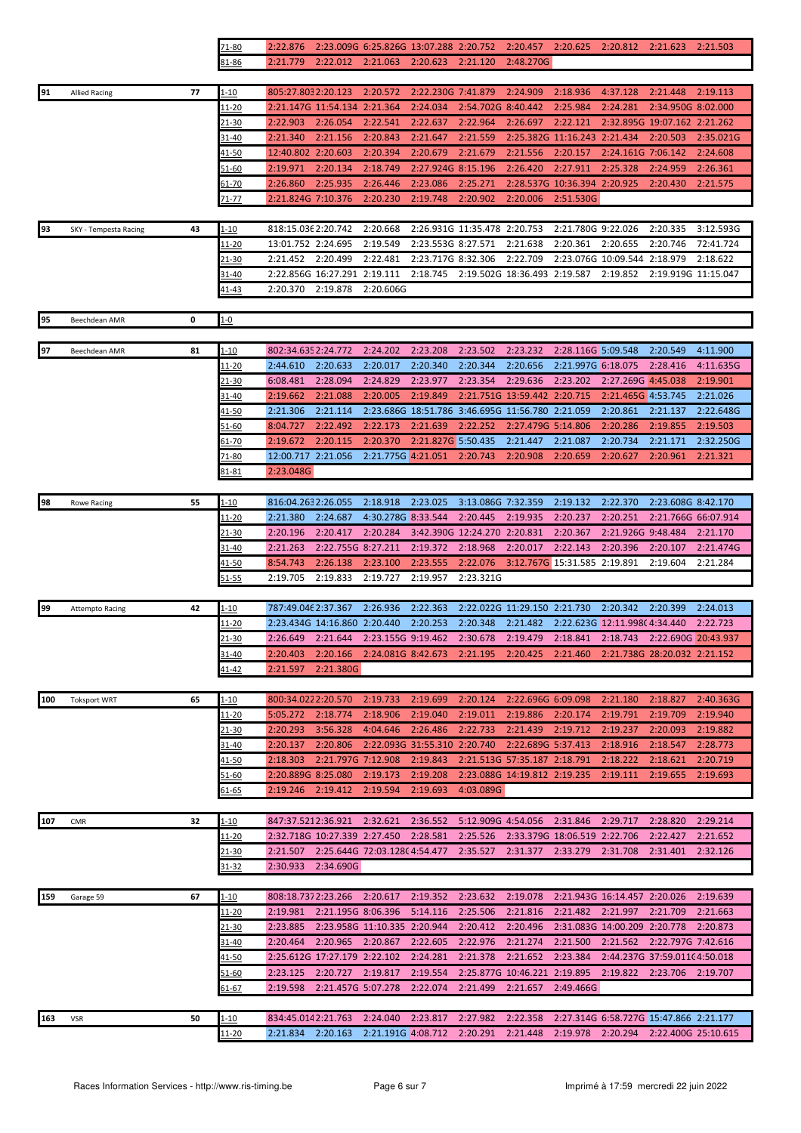|     |                        |    | 71-80         | 2:22.876                                                                                     |                                       | 2:23.009G 6:25.826G 13:07.288 2:20.752 |                              |                              | 2:20.457                                         | 2:20.625                     | 2:20.812 2:21.623             |                                                                                     | 2:21.503  |
|-----|------------------------|----|---------------|----------------------------------------------------------------------------------------------|---------------------------------------|----------------------------------------|------------------------------|------------------------------|--------------------------------------------------|------------------------------|-------------------------------|-------------------------------------------------------------------------------------|-----------|
|     |                        |    | 81-86         | 2:21.779                                                                                     | 2:22.012                              | 2:21.063                               | 2:20.623                     | 2:21.120                     | 2:48.270G                                        |                              |                               |                                                                                     |           |
|     |                        |    |               |                                                                                              |                                       |                                        |                              |                              |                                                  |                              |                               |                                                                                     |           |
| 91  | <b>Allied Racing</b>   | 77 | 1-10          | 805:27.8032:20.123                                                                           |                                       | 2:20.572                               | 2:22.230G 7:41.879           |                              | 2:24.909                                         | 2:18.936                     | 4:37.128                      | 2:21.448                                                                            | 2:19.113  |
|     |                        |    |               |                                                                                              |                                       |                                        |                              | 2:54.702G 8:40.442           |                                                  |                              |                               |                                                                                     |           |
|     |                        |    | 11-20         |                                                                                              | 2:21.147G 11:54.134 2:21.364          |                                        | 2:24.034                     |                              |                                                  | 2:25.984                     | 2:24.281                      | 2:34.950G 8:02.000                                                                  |           |
|     |                        |    | 21-30         | 2:22.903                                                                                     | 2:26.054                              | 2:22.541                               | 2:22.637                     | 2:22.964                     | 2:26.697                                         | 2:22.121                     |                               | 2:32.895G 19:07.162 2:21.262                                                        |           |
|     |                        |    | $31 - 40$     | 2:21.340                                                                                     | 2:21.156                              | 2:20.843                               | 2:21.647                     | 2:21.559                     |                                                  | 2:25.382G 11:16.243 2:21.434 |                               | 2:20.503                                                                            | 2:35.021G |
|     |                        |    | <u>41-50</u>  | 12:40.802 2:20.603                                                                           |                                       | 2:20.394                               | 2:20.679                     | 2:21.679                     | 2:21.556                                         | 2:20.157                     | 2:24.161G 7:06.142            |                                                                                     | 2:24.608  |
|     |                        |    | 51-60         | 2:19.971                                                                                     | 2:20.134                              | 2:18.749                               | 2:27.924G 8:15.196           |                              | 2:26.420                                         | 2:27.911                     | 2:25.328                      | 2:24.959                                                                            | 2:26.361  |
|     |                        |    | 61-70         | 2:26.860                                                                                     | 2:25.935                              | 2:26.446                               | 2:23.086                     | 2:25.271                     |                                                  | 2:28.537G 10:36.394 2:20.925 |                               | 2:20.430                                                                            | 2:21.575  |
|     |                        |    | 71-77         | 2:21.824G 7:10.376                                                                           |                                       | 2:20.230                               | 2:19.748                     | 2:20.902                     | 2:20.006                                         | 2:51.530G                    |                               |                                                                                     |           |
|     |                        |    |               |                                                                                              |                                       |                                        |                              |                              |                                                  |                              |                               |                                                                                     |           |
| 93  | SKY - Tempesta Racing  | 43 | 1-10          | 818:15.036 2:20.742                                                                          |                                       | 2:20.668                               |                              | 2:26.931G 11:35.478 2:20.753 |                                                  | 2:21.780G 9:22.026           |                               | 2:20.335                                                                            | 3:12.593G |
|     |                        |    | 11-20         | 13:01.752 2:24.695                                                                           |                                       | 2:19.549                               | 2:23.553G 8:27.571           |                              | 2:21.638                                         | 2:20.361                     | 2:20.655                      | 2:20.746                                                                            | 72:41.724 |
|     |                        |    | 21-30         | 2:21.452                                                                                     | 2:20.499                              | 2:22.481                               | 2:23.717G 8:32.306           |                              | 2:22.709                                         |                              | 2:23.076G 10:09.544           | 2:18.979                                                                            | 2:18.622  |
|     |                        |    | 31-40         |                                                                                              | 2:22.856G 16:27.291 2:19.111          |                                        | 2:18.745                     |                              | 2:19.502G 18:36.493 2:19.587                     |                              | 2:19.852                      | 2:19.919G 11:15.047                                                                 |           |
|     |                        |    | <u>41-43</u>  | 2:20.370                                                                                     | 2:19.878                              | 2:20.606G                              |                              |                              |                                                  |                              |                               |                                                                                     |           |
|     |                        |    |               |                                                                                              |                                       |                                        |                              |                              |                                                  |                              |                               |                                                                                     |           |
| 95  | Beechdean AMR          | 0  | $1 - 0$       |                                                                                              |                                       |                                        |                              |                              |                                                  |                              |                               |                                                                                     |           |
|     |                        |    |               |                                                                                              |                                       |                                        |                              |                              |                                                  |                              |                               |                                                                                     |           |
|     |                        |    |               |                                                                                              |                                       |                                        |                              |                              |                                                  |                              |                               |                                                                                     |           |
| 97  | Beechdean AMR          | 81 | 1-10          | 802:34.6352:24.772                                                                           |                                       | 2:24.202                               | 2:23.208                     | 2:23.502                     | 2:23.232                                         | 2:28.116G 5:09.548           |                               | 2:20.549                                                                            | 4:11.900  |
|     |                        |    | 11-20         | 2:44.610                                                                                     | 2:20.633                              | 2:20.017                               | 2:20.340                     | 2:20.344                     | 2:20.656                                         | 2:21.997G 6:18.075           |                               | 2:28.416                                                                            | 4:11.635G |
|     |                        |    | 21-30         | 6:08.481                                                                                     | 2:28.094                              | 2:24.829                               | 2:23.977                     | 2:23.354                     | 2:29.636                                         | 2:23.202                     | 2:27.269G 4:45.038            |                                                                                     | 2:19.901  |
|     |                        |    | 31-40         | 2:19.662                                                                                     | 2:21.088                              | 2:20.005                               | 2:19.849                     |                              | 2:21.751G 13:59.442 2:20.715                     |                              | 2:21.465G 4:53.745            |                                                                                     | 2:21.026  |
|     |                        |    | 41-50         | 2:21.306                                                                                     | 2:21.114                              |                                        |                              |                              | 2:23.686G 18:51.786 3:46.695G 11:56.780 2:21.059 |                              | 2:20.861                      | 2:21.137                                                                            | 2:22.648G |
|     |                        |    | 51-60         | 8:04.727                                                                                     | 2:22.492                              | 2:22.173                               | 2:21.639                     | 2:22.252                     | 2:27.479G 5:14.806                               |                              | 2:20.286                      | 2:19.855                                                                            | 2:19.503  |
|     |                        |    | $61 - 70$     | 2:19.672                                                                                     | 2:20.115                              | 2:20.370                               | 2:21.827G 5:50.435           |                              | 2:21.447                                         | 2:21.087                     | 2:20.734                      | 2:21.171                                                                            | 2:32.250G |
|     |                        |    | 71-80         | 12:00.717 2:21.056                                                                           |                                       | 2:21.775G 4:21.051                     |                              | 2:20.743                     | 2:20.908                                         | 2:20.659                     | 2:20.627                      | 2:20.961                                                                            | 2:21.321  |
|     |                        |    | <u>31-81</u>  | 2:23.048G                                                                                    |                                       |                                        |                              |                              |                                                  |                              |                               |                                                                                     |           |
|     |                        |    |               |                                                                                              |                                       |                                        |                              |                              |                                                  |                              |                               |                                                                                     |           |
| 98  | <b>Rowe Racing</b>     | 55 | $1 - 10$      | 816:04.2632:26.055                                                                           |                                       | 2:18.918                               | 2:23.025                     | 3:13.086G 7:32.359           |                                                  | 2:19.132                     | 2:22.370                      | 2:23.608G 8:42.170                                                                  |           |
|     |                        |    | 11-20         | 2:21.380                                                                                     | 2:24.687                              | 4:30.278G 8:33.544                     |                              | 2:20.445                     | 2:19.935                                         | 2:20.237                     | 2:20.251                      | 2:21.766G 66:07.914                                                                 |           |
|     |                        |    | 21-30         | 2:20.196                                                                                     | 2:20.417                              | 2:20.284                               |                              | 3:42.390G 12:24.270 2:20.831 |                                                  | 2:20.367                     | 2:21.926G 9:48.484            |                                                                                     | 2:21.170  |
|     |                        |    | 31-40         | 2:21.263                                                                                     | 2:22.755G 8:27.211                    |                                        | 2:19.372                     | 2:18.968                     | 2:20.017                                         | 2:22.143                     | 2:20.396                      | 2:20.107                                                                            | 2:21.474G |
|     |                        |    | 41-50         | 8:54.743                                                                                     | 2:26.138                              | 2:23.100                               | 2:23.555                     | 2:22.076                     |                                                  | 3:12.767G 15:31.585 2:19.891 |                               | 2:19.604                                                                            | 2:21.284  |
|     |                        |    | 51-55         | 2:19.705                                                                                     | 2:19.833                              | 2:19.727                               | 2:19.957                     | 2:23.321G                    |                                                  |                              |                               |                                                                                     |           |
|     |                        |    |               |                                                                                              |                                       |                                        |                              |                              |                                                  |                              |                               |                                                                                     |           |
|     |                        |    |               |                                                                                              |                                       |                                        |                              |                              |                                                  |                              |                               |                                                                                     |           |
| 99  | <b>Attempto Racing</b> | 42 | 1-10          | 787:49.046 2:37.367                                                                          |                                       | 2:26.936                               | 2:22.363                     |                              | 2:22.022G 11:29.150 2:21.730                     |                              | 2:20.342                      | 2:20.399                                                                            | 2:24.013  |
|     |                        |    | <u> 11-20</u> |                                                                                              | 2:23.434G 14:16.860 2:20.440          |                                        | 2:20.253                     | 2:20.348                     | 2:21.482                                         |                              | 2:22.623G 12:11.998C 4:34.440 |                                                                                     | 2:22.723  |
|     |                        |    | $21 - 30$     | 2:26.649 2:21.644                                                                            |                                       | 2:23.155G 9:19.462                     |                              | 2:30.678                     | 2:19.479                                         | 2:18.841                     |                               | 2:18.743 2:22.690G 20:43.937                                                        |           |
|     |                        |    | 31-40         | 2:20.403                                                                                     |                                       |                                        |                              |                              |                                                  |                              |                               | 2:20.166 2:24.081G 8:42.673 2:21.195 2:20.425 2:21.460 2:21.738G 28:20.032 2:21.152 |           |
|     |                        |    | <u>41-42</u>  | 2:21.597                                                                                     | 2:21.380G                             |                                        |                              |                              |                                                  |                              |                               |                                                                                     |           |
|     |                        |    |               |                                                                                              |                                       |                                        |                              |                              |                                                  |                              |                               |                                                                                     |           |
| 100 | <b>Toksport WRT</b>    | 65 | 1-10          | 800:34.0222:20.570                                                                           |                                       | 2:19.733                               | 2:19.699                     | 2:20.124                     | 2:22.696G 6:09.098                               |                              | 2:21.180                      | 2:18.827                                                                            | 2:40.363G |
|     |                        |    | <u> 11-20</u> | 5:05.272                                                                                     | 2:18.774                              | 2:18.906                               | 2:19.040                     | 2:19.011                     | 2:19.886                                         | 2:20.174                     | 2:19.791                      | 2:19.709                                                                            | 2:19.940  |
|     |                        |    | 21-30         | 2:20.293                                                                                     | 3:56.328                              | 4:04.646                               | 2:26.486                     | 2:22.733                     | 2:21.439                                         | 2:19.712                     | 2:19.237                      | 2:20.093                                                                            | 2:19.882  |
|     |                        |    | 31-40         | 2:20.137                                                                                     | 2:20.806                              |                                        | 2:22.093G 31:55.310 2:20.740 |                              | 2:22.689G 5:37.413                               |                              | 2:18.916                      | 2:18.547                                                                            | 2:28.773  |
|     |                        |    | <u>41-50</u>  | 2:18.303                                                                                     | 2:21.797G 7:12.908                    |                                        | 2:19.843                     |                              | 2:21.513G 57:35.187 2:18.791                     |                              | 2:18.222                      | 2:18.621                                                                            | 2:20.719  |
|     |                        |    | 51-60         | 2:20.889G 8:25.080                                                                           |                                       | 2:19.173                               | 2:19.208                     |                              | 2:23.088G 14:19.812 2:19.235                     |                              | 2:19.111                      | 2:19.655                                                                            | 2:19.693  |
|     |                        |    | 61-65         | 2:19.246                                                                                     | 2:19.412                              | 2:19.594                               | 2:19.693                     | 4:03.089G                    |                                                  |                              |                               |                                                                                     |           |
|     |                        |    |               |                                                                                              |                                       |                                        |                              |                              |                                                  |                              |                               |                                                                                     |           |
| 107 | CMR                    | 32 | $1 - 10$      | 847:37.5212:36.921                                                                           |                                       | 2:32.621                               | 2:36.552                     |                              | 5:12.909G 4:54.056 2:31.846                      |                              | 2:29.717                      | 2:28.820                                                                            | 2:29.214  |
|     |                        |    |               |                                                                                              | 2:32.718G 10:27.339 2:27.450 2:28.581 |                                        |                              | 2:25.526                     |                                                  |                              |                               | 2:22.427                                                                            | 2:21.652  |
|     |                        |    | <u> 11-20</u> |                                                                                              |                                       |                                        |                              |                              |                                                  | 2:33.379G 18:06.519 2:22.706 |                               |                                                                                     |           |
|     |                        |    | 21-30         |                                                                                              | 2:21.507 2:25.644G 72:03.12804:54.477 |                                        |                              | 2:35.527                     |                                                  | 2:31.377 2:33.279            | 2:31.708                      | 2:31.401                                                                            | 2:32.126  |
|     |                        |    | 31-32         |                                                                                              | 2:30.933 2:34.690G                    |                                        |                              |                              |                                                  |                              |                               |                                                                                     |           |
|     |                        |    |               |                                                                                              |                                       |                                        |                              |                              |                                                  |                              |                               |                                                                                     |           |
| 159 | Garage 59              | 67 | 1-10          | 808:18.7372:23.266                                                                           |                                       | 2:20.617                               | 2:19.352                     | 2:23.632                     | 2:19.078                                         |                              | 2:21.943G 16:14.457 2:20.026  |                                                                                     | 2:19.639  |
|     |                        |    | <u> 11-20</u> | 2:19.981                                                                                     | 2:21.195G 8:06.396                    |                                        | 5:14.116                     | 2:25.506                     | 2:21.816                                         | 2:21.482                     | 2:21.997                      | 2:21.709                                                                            | 2:21.663  |
|     |                        |    | 21-30         | 2:23.885                                                                                     |                                       | 2:23.958G 11:10.335 2:20.944           |                              | 2:20.412                     | 2:20.496                                         |                              | 2:31.083G 14:00.209 2:20.778  |                                                                                     | 2:20.873  |
|     |                        |    | 31-40         | 2:20.464                                                                                     | 2:20.965 2:20.867                     |                                        | 2:22.605                     | 2:22.976                     | 2:21.274                                         | 2:21.500                     |                               | 2:21.562 2:22.797G 7:42.616                                                         |           |
|     |                        |    | <u>41-50</u>  |                                                                                              | 2:25.612G 17:27.179 2:22.102          |                                        | 2:24.281                     | 2:21.378                     | 2:21.652                                         | 2:23.384                     |                               | 2:44.237G 37:59.011(4:50.018                                                        |           |
|     |                        |    | 51-60         | 2:23.125                                                                                     | 2:20.727 2:19.817                     |                                        | 2:19.554                     |                              | 2:25.877G 10:46.221 2:19.895                     |                              | 2:19.822                      | 2:23.706                                                                            | 2:19.707  |
|     |                        |    | 61-67         | 2:19.598                                                                                     | 2:21.457G 5:07.278                    |                                        | 2:22.074                     | 2:21.499                     | 2:21.657                                         | 2:49.466G                    |                               |                                                                                     |           |
|     |                        |    |               |                                                                                              |                                       |                                        |                              |                              |                                                  |                              |                               |                                                                                     |           |
| 163 | <b>VSR</b>             | 50 | $1 - 10$      | 834:45.0142:21.763                                                                           |                                       | 2:24.040                               | 2:23.817                     | 2:27.982                     | 2:22.358                                         |                              |                               | 2:27.314G 6:58.727G 15:47.866 2:21.177                                              |           |
|     |                        |    | $11 - 20$     | 2:21.834 2:20.163 2:21.191G 4:08.712 2:20.291 2:21.448 2:19.978 2:20.294 2:22.400G 25:10.615 |                                       |                                        |                              |                              |                                                  |                              |                               |                                                                                     |           |